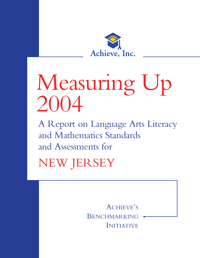

# Measuring Up 2004

A Report on Language Arts Literacy and Mathematics Standards and Assessments for

NEW JERSEY

ACHIEVE'S BENCHMARKING INITIATIVE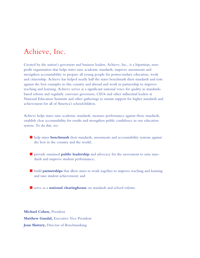## Achieve, Inc.

Created by the nation's governors and business leaders, Achieve, Inc., is a bipartisan, nonprofit organization that helps states raise academic standards, improve assessments and strengthen accountability to prepare all young people for postsecondary education, work and citizenship. Achieve has helped nearly half the states benchmark their standards and tests against the best examples in this country and abroad and work in partnership to improve teaching and learning. Achieve serves as a significant national voice for quality in standardsbased reform and regularly convenes governors, CEOs and other influential leaders at National Education Summits and other gatherings to sustain support for higher standards and achievement for all of America's schoolchildren.

Achieve helps states raise academic standards, measure performance against those standards, establish clear accountability for results and strengthen public confidence in our education system. To do this, we:

- **■** help states **benchmark** their standards, assessments and accountability systems against the best in the country and the world;
- **■** provide sustained **public leadership** and advocacy for the movement to raise standards and improve student performance;
- **■** build **partnerships** that allow states to work together to improve teaching and learning and raise student achievement; and
- **■** serve as a **national clearinghouse** on standards and school reform.

**Michael Cohen,** President **Matthew Gandal,** Executive Vice President **Jean Slattery,** Director of Benchmarking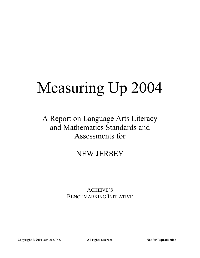# Measuring Up 2004

# A Report on Language Arts Literacy and Mathematics Standards and Assessments for

# NEW JERSEY

## ACHIEVE'S BENCHMARKING INITIATIVE

Copyright © 2004 Achieve, Inc. All rights reserved Not for Reproduction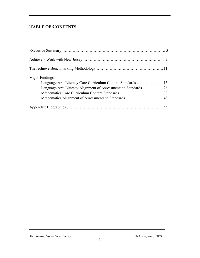## **TABLE OF CONTENTS**

| Major Findings |  |
|----------------|--|
|                |  |
|                |  |
|                |  |
|                |  |
|                |  |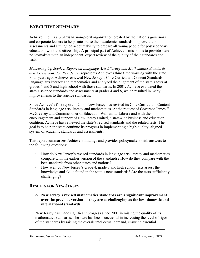## **EXECUTIVE SUMMARY**

Achieve, Inc., is a bipartisan, non-profit organization created by the nation's governors and corporate leaders to help states raise their academic standards, improve their assessments and strengthen accountability to prepare all young people for postsecondary education, work and citizenship. A principal part of Achieve's mission is to provide state policymakers with an independent, expert review of the quality of their standards and tests.

*Measuring Up 2004: A Report on Language Arts Literacy and Mathematics Standards and Assessments for New Jersey* represents Achieve's third time working with the state. Four years ago, Achieve reviewed New Jersey's Core Curriculum Content Standards in language arts literacy and mathematics and analyzed the alignment of the state's tests at grades 4 and 8 and high school with those standards. In 2001, Achieve evaluated the state's science standards and assessments at grades 4 and 8, which resulted in many improvements to the science standards.

Since Achieve's first report in 2000, New Jersey has revised its Core Curriculum Content Standards in language arts literacy and mathematics. At the request of Governor James E. McGreevey and Commissioner of Education William L. Librera and with the encouragement and support of New Jersey United, a statewide business and education coalition, Achieve has reviewed the state's revised standards and the related tests. The goal is to help the state continue its progress in implementing a high-quality, aligned system of academic standards and assessments.

This report summarizes Achieve's findings and provides policymakers with answers to the following questions:

- How do New Jersey's revised standards in language arts literacy and mathematics compare with the earlier version of the standards? How do they compare with the best standards from other states and nations?
- How well do New Jersey's grade 4, grade 8 and high school tests assess the knowledge and skills found in the state's new standards? Are the tests sufficiently challenging?

#### **RESULTS FOR NEW JERSEY**

<sup>m</sup> **New Jersey's revised mathematics standards are a significant improvement over the previous version — they are as challenging as the best domestic and international standards.**

New Jersey has made significant progress since 2001 in raising the quality of its mathematics standards. The state has been successful in increasing the level of rigor of the standards by raising the overall intellectual demand, ensuring essential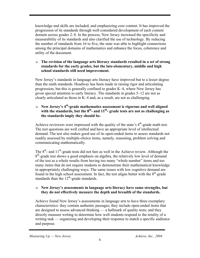knowledge and skills are included, and emphasizing core content. It has improved the progression of its standards through well-considered development of each content domain across grades 2–8. In the process, New Jersey increased the specificity and measurability of its standards and also clarified the use of technology. By reducing the number of standards from 16 to five, the state was able to highlight connections among the principal domains of mathematics and enhance the focus, coherence and utility of the document.

#### <sup>m</sup> **The revision of the language arts literacy standards resulted in a set of strong standards for the early grades, but the late-elementary, middle and high school standards still need improvement.**

New Jersey's standards in language arts literacy have improved but to a lesser degree than the math standards. Headway has been made in raising rigor and articulating progression, but this is generally confined to grades K–4, where New Jersey has given special attention to early literacy. The standards in grades 5–12 are not as clearly articulated as those in K–4 and, as a result, are not as challenging.

#### <sup>m</sup> **New Jersey's 4th-grade mathematics assessment is rigorous and well aligned with the standards, but the 8th- and 11th- grade tests are not as challenging as the standards imply they should be.**

Achieve reviewers were impressed with the quality of the state's  $4<sup>th</sup>$ -grade math test. The test questions are well crafted and have an appropriate level of intellectual demand. The test also makes good use of its open-ended items to assess standards not readily assessed by multiple-choice items, namely, reasoning, problem solving and communicating mathematically.

The  $8<sup>th</sup>$ - and  $11<sup>th</sup>$ -grade tests did not fare as well in the Achieve review. Although the  $8<sup>th</sup>$ -grade test shows a good emphasis on algebra, the relatively low level of demand of the test as a whole results from having too many "whole number" items and too many items that do not require students to demonstrate their mathematical knowledge in appropriately challenging ways. The same issues with low cognitive demand are found in the high school assessment. In fact, the test aligns better with the  $8<sup>th</sup>$ -grade standards than the  $12<sup>th</sup>$ -grade standards.

#### <sup>m</sup> **New Jersey's assessments in language arts literacy have some strengths, but they do not effectively measure the depth and breadth of the standards.**

Achieve found New Jersey's assessments in language arts to have three exemplary characteristics: they contain authentic passages; they include open-ended items that are designed to assess advanced thinking — a hallmark of quality tests; and they directly measure writing to determine how well students respond to the totality of a writing task — organizing and developing their response to match a specific audience and purpose.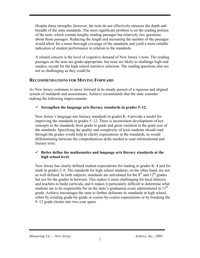Despite these strengths, however, the tests do not effectively measure the depth and breadth of the state standards. The most significant problem is on the reading portion of the tests, which contain lengthy reading passages but relatively few questions about those passages. Reducing the length and increasing the number of the passages would allow for a more thorough coverage of the standards and yield a more reliable indication of student performance in relation to the standards.

A related concern is the level of cognitive demand of New Jersey's tests. The reading passages on the tests are grade-appropriate, but none are likely to challenge high-end readers, except for the high school narrative selection. The reading questions also are not as challenging as they could be.

#### **RECOMMENDATIONS FOR MOVING FORWARD**

As New Jersey continues to move forward in its steady pursuit of a rigorous and aligned system of standards and assessments, Achieve recommends that the state consider making the following improvements:

#### $\checkmark$  Strengthen the language arts literacy standards in grades 5–12.

New Jersey's language arts literacy standards in grades K–4 provide a model for improving the standards in grades 5–12. There is inconsistent development of key concepts in the standards from grade to grade and great variation in the grain size of the standards. Specifying the quality and complexity of texts students should read through the grades would help to clarify expectations in the standards, as would differentiating between the comprehension skills needed to read informational and literary texts.

#### ¸ **Better define the mathematics and language arts literacy standards at the high school level.**

New Jersey has clearly defined student expectations for reading in grades K–4 and for math in grades 2–8. The standards for high school students, on the other hand, are not as well defined. In both subjects, standards are articulated for the  $8<sup>th</sup>$  and  $12<sup>th</sup>$  grades but not for the grades in between. This makes it more challenging for local districts and teachers to build curricula, and it makes it particularly difficult to determine what students are to be responsible for on the state's graduation exam administered in  $11<sup>th</sup>$ grade. Achieve encourages the state to further delineate its standards in high school, either by creating grade-by-grade or course-by-course expectations or by breaking the 9–12 grade cluster into two-year spans.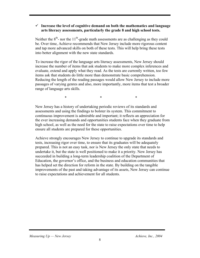#### $\checkmark$  Increase the level of cognitive demand on both the mathematics and language **arts literacy assessments, particularly the grade 8 and high school tests.**

Neither the  $8<sup>th</sup>$ - nor the 11<sup>th</sup>-grade math assessments are as challenging as they could be. Over time, Achieve recommends that New Jersey include more rigorous content and tap more advanced skills on both of these tests. This will help bring these tests into better alignment with the new state standards.

To increase the rigor of the language arts literacy assessments, New Jersey should increase the number of items that ask students to make more complex inferences and evaluate, extend and apply what they read. As the tests are currently written, too few items ask that students do little more than demonstrate basic comprehension. Reducing the length of the reading passages would allow New Jersey to include more passages of varying genres and also, more importantly, more items that test a broader range of language arts skills.

 $*$  \*  $*$  \*  $*$ 

New Jersey has a history of undertaking periodic reviews of its standards and assessments and using the findings to bolster its system. This commitment to continuous improvement is admirable and important; it reflects an appreciation for the ever increasing demands and opportunities students face when they graduate from high school, as well as the need for the state to raise expectations over time to help ensure all students are prepared for these opportunities.

Achieve strongly encourages New Jersey to continue to upgrade its standards and tests, increasing rigor over time, to ensure that its graduates will be adequately prepared. This is not an easy task, nor is New Jersey the only state that needs to undertake it, but the state is well positioned to make it a priority. New Jersey has succeeded in building a long-term leadership coalition of the Department of Education, the governor's office, and the business and education communities that has helped set the direction for reform in the state. By building on the tangible improvements of the past and taking advantage of its assets, New Jersey can continue to raise expectations and achievement for all students.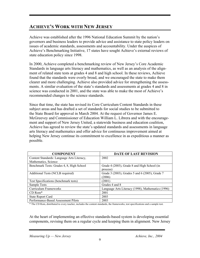## **ACHIEVE'S WORK WITH NEW JERSEY**

Achieve was established after the 1996 National Education Summit by the nation's governors and business leaders to provide advice and assistance to state policy leaders on issues of academic standards, assessments and accountability. Under the auspices of Achieve's Benchmarking Initiative, 17 states have sought Achieve's external reviews of state education policy since 1998.

In 2000, Achieve completed a benchmarking review of New Jersey's Core Academic Standards in language arts literacy and mathematics, as well as an analysis of the alignment of related state tests at grades 4 and 8 and high school. In these reviews, Achieve found that the standards were overly broad, and we encouraged the state to make them clearer and more challenging. Achieve also provided advice for strengthening the assessments. A similar evaluation of the state's standards and assessments at grades 4 and 8 in science was conducted in 2001, and the state was able to make the most of Achieve's recommended changes to the science standards.

Since that time, the state has revised its Core Curriculum Content Standards in these subject areas and has drafted a set of standards for social studies to be submitted to the State Board for approval in March 2004. At the request of Governor James E. McGreevey and Commissioner of Education William L. Librera and with the encouragement and support of New Jersey United, a statewide business and education coalition, Achieve has agreed to review the state's updated standards and assessments in language arts literacy and mathematics and offer advice for continuous improvement aimed at helping New Jersey continue its commitment to excellence in as expeditious a manner as possible.

| <b>COMPONENT</b>                           | <b>DATE OF LAST REVISION</b>                      |
|--------------------------------------------|---------------------------------------------------|
| Content Standards: Language Arts Literacy, | 2002                                              |
| Mathematics, Science                       |                                                   |
| Benchmark Tests: Grades 4, 8, High School  | Grade 4 (2003), Grade 8 and High School (in       |
|                                            | process)                                          |
| Additional Tests (NCLB required)           | Grade 3 (2003), Grades 5 and 6 (2005), Grade 7    |
|                                            | (2006)                                            |
| Test Specifications (benchmark tests)      | (2001)                                            |
| Sample Tests                               | Grades 4 and 8                                    |
| Curriculum Frameworks                      | Language Arts Literacy (1998), Mathematics (1996) |
| $CD$ Rom $*$                               | 2001                                              |
| <b>State Report Card</b>                   | 2003                                              |
| Performance-Based Assessment Pilots        | 2003                                              |

\* The CD Rom, distributed to every teacher, includes the content standards, the frameworks, test specifications and a sample test.

At the heart of implementing an effective standards-based system is developing essential components, revising them on a regular cycle and keeping them in alignment. New Jersey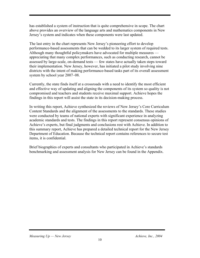has established a system of instruction that is quite comprehensive in scope. The chart above provides an overview of the language arts and mathematics components in New Jersey's system and indicates when these components were last updated.

The last entry in the chart represents New Jersey's pioneering effort to develop performance-based assessments that can be wedded to its larger system of required tests. Although many thoughtful policymakers have advocated for multiple measures appreciating that many complex performances, such as conducting research, cannot be assessed by large-scale, on-demand tests — few states have actually taken steps toward their implementation. New Jersey, however, has initiated a pilot study involving nine districts with the intent of making performance-based tasks part of its overall assessment system by school year 2007–08.

Currently, the state finds itself at a crossroads with a need to identify the most efficient and effective way of updating and aligning the components of its system so quality is not compromised and teachers and students receive maximal support. Achieve hopes the findings in this report will assist the state in its decision-making process.

In writing this report, Achieve synthesized the reviews of New Jersey's Core Curriculum Content Standards and the alignment of the assessments to the standards. These studies were conducted by teams of national experts with significant experience in analyzing academic standards and tests. The findings in this report represent consensus opinions of Achieve's experts, but final judgments and conclusions rest with Achieve. In addition to this summary report, Achieve has prepared a detailed technical report for the New Jersey Department of Education. Because the technical report contains references to secure test items, it is confidential.

Brief biographies of experts and consultants who participated in Achieve's standards benchmarking and assessment analysis for New Jersey can be found in the Appendix.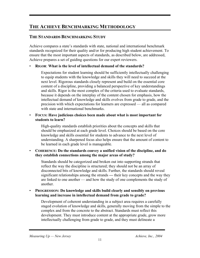## **THE ACHIEVE BENCHMARKING METHODOLOGY**

#### **THE STANDARDS BENCHMARKING STUDY**

Achieve compares a state's standards with state, national and international benchmark standards recognized for their quality and/or for producing high student achievement. To ensure that the most important aspects of standards, as described below, are addressed, Achieve prepares a set of guiding questions for our expert reviewers.

#### • **RIGOR**: **What is the level of intellectual demand of the standards?**

Expectations for student learning should be sufficiently intellectually challenging to equip students with the knowledge and skills they will need to succeed at the next level. Rigorous standards closely represent and build on the essential core content of a discipline, providing a balanced perspective of key understandings and skills. Rigor is the most complex of the criteria used to evaluate standards, because it depends on the interplay of the content chosen for emphasis, how the intellectual demand of knowledge and skills evolves from grade to grade, and the precision with which expectations for learners are expressed — all as compared with state and international benchmarks.

#### • **FOCUS: Have judicious choices been made about what is most important for students to learn?**

High-quality standards establish priorities about the concepts and skills that should be emphasized at each grade level. Choices should be based on the core knowledge and skills essential for students to advance to the next level of understanding. A sharpened focus also helps ensure that the amount of content to be learned in each grade level is manageable.

#### • **COHERENCE: Do the standards convey a unified vision of the discipline, and do they establish connections among the major areas of study?**

Standards should be categorized and broken out into supporting strands that reflect the way the discipline is structured; they should not be an array of disconnected bits of knowledge and skills. Further, the standards should reveal significant relationships among the strands **—** their key concepts and the way they are linked to one another — and how the study of one complements the study of another.

#### • **PROGRESSION: Do knowledge and skills build clearly and sensibly on previous learning and increase in intellectual demand from grade to grade?**

Development of coherent understanding in a subject area requires a carefully staged evolution of knowledge and skills, generally moving from the simple to the complex and from the concrete to the abstract. Standards must reflect this development. They must introduce content at the appropriate grade, grow more intellectually challenging from grade to grade, and they must delineate a

#### *Measuring Up — New Jersey Achieve, Inc., 2004*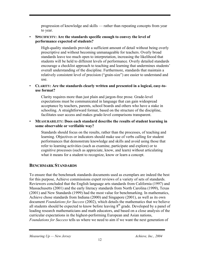progression of knowledge and skills — rather than repeating concepts from year to year.

#### • **SPECIFICITY: Are the standards specific enough to convey the level of performance expected of students?**

High-quality standards provide a sufficient amount of detail without being overly prescriptive and without becoming unmanageable for teachers. Overly broad standards leave too much open to interpretation, increasing the likelihood that students will be held to different levels of performance. Overly detailed standards encourage a checklist approach to teaching and learning that undermines students' overall understanding of the discipline. Furthermore, standards that maintain a relatively consistent level of precision ("grain-size") are easier to understand and use.

#### • **CLARITY: Are the standards clearly written and presented in a logical, easy-touse format?**

Clarity requires more than just plain and jargon-free prose. Grade-level expectations must be communicated in language that can gain widespread acceptance by teachers, parents, school boards and others who have a stake in schooling. A straightforward format, based on the structure of the discipline, facilitates user access and makes grade-level comparisons transparent.

#### • **MEASURABILITY: Does each standard describe the results of student learning in some observable or verifiable way?**

Standards should focus on the results, rather than the processes, of teaching and learning. Objectives or indicators should make use of verbs calling for student performances that demonstrate knowledge and skills and avoid using those that refer to learning activities (such as examine, participate and explore) or to cognitive processes (such as appreciate, know, and learn) without articulating what it means for a student to recognize, know or learn a concept.

#### **BENCHMARK STANDARDS**

To ensure that the benchmark standards documents used as exemplars are indeed the best for this purpose, Achieve commissions expert reviews of a variety of sets of standards. Reviewers concluded that the English language arts standards from California (1997) and Massachusetts (2001) and the early literacy standards from North Carolina (1999), Texas (2001) and New Standards (1999) had the most value for benchmarking. In mathematics, Achieve chose standards from Indiana (2000) and Singapore (2001), as well as its own document *Foundations for Success* (2002), which details the mathematics that we believe all students should be expected to know before leaving  $8<sup>th</sup>$  grade. Developed by a panel of leading research mathematicians and math educators, and based on a close analysis of the curricular expectations in the highest-performing European and Asian nations, *Foundations for Success* tells us where we need to aim if we want the next generation of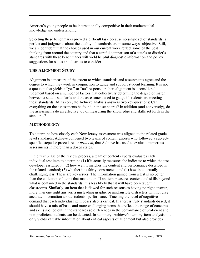America's young people to be internationally competitive in their mathematical knowledge and understanding.

Selecting these benchmarks proved a difficult task because no single set of standards is perfect and judgments about the quality of standards are in some ways subjective. Still, we are confident that the choices used in our current work reflect some of the best thinking from around the country and that a careful comparison of a state's or district's standards with these benchmarks will yield helpful diagnostic information and policy suggestions for states and districts to consider.

#### **THE ALIGNMENT STUDY**

Alignment is a measure of the extent to which standards and assessments agree and the degree to which they work in conjunction to guide and support student learning. It is not a question that yields a "yes" or "no" response; rather, alignment is a considered judgment based on a number of factors that collectively determine the degree of match between a state's standards and the assessment used to gauge if students are meeting those standards. At its core, the Achieve analysis answers two key questions: Can everything on the assessments be found in the standards? In addition (and conversely), do the assessments do an effective job of measuring the knowledge and skills set forth in the standards?

#### **METHODOLOGY**

To determine how closely each New Jersey assessment was aligned to the related gradelevel standards, Achieve convened two teams of content experts who followed a subjectspecific, stepwise procedure, or *protocol*, that Achieve has used to evaluate numerous assessments in more than a dozen states.

In the first phase of the review process, a team of content experts evaluates each individual test item to determine (1) if it actually measures the indicator to which the test developer assigned it; (2) how well it matches the content and performance described in the related standard; (3) whether it is fairly constructed; and (4) how intellectually challenging it is. These are key issues. The information gained from a test is no better than the collection of items that make it up. If an item measures content and skills beyond what is contained in the standards, it is less likely that it will have been taught in classrooms. Similarly, an item that is flawed for such reasons as having no right answer, more than one right answer, a misleading graphic or implausible distracters will not give accurate information about students' performance. Tracking the level of cognitive demand that each individual item poses also is critical. If a test is truly standards-based, it should have a mix of basic and more challenging items that reflect the range of concepts and skills spelled out in the standards so differences in the performance of proficient and non-proficient students can be detected. In summary, Achieve's item-by-item analysis not only yields valuable information about critical aspects of alignment but also provides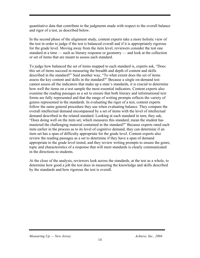quantitative data that contribute to the judgments made with respect to the overall balance and rigor of a test, as described below.

In the second phase of the alignment study, content experts take a more holistic view of the test in order to judge if the test is balanced overall and if it is appropriately rigorous for the grade level. Moving away from the item level, reviewers consider the test one standard at a time — such as literary response or geometry — and look at the collection or set of items that are meant to assess each standard.

To judge how balanced the set of items mapped to each standard is, experts ask, "Does this set of items succeed in measuring the breadth and depth of content and skills described in the standard?" Said another way, "To what extent does the set of items assess the key content and skills in the standard?" Because a single on-demand test cannot assess all the indicators that make up a state's standards, it is crucial to determine how well the items on a test sample the most essential indicators. Content experts also examine the reading passages as a set to ensure that both literary and informational text forms are fully represented and that the range of writing prompts reflects the variety of genres represented in the standards. In evaluating the rigor of a test, content experts follow the same general procedure they use when evaluating balance. They compare the overall intellectual demand encompassed by a set of items with the level of intellectual demand described in the related standard. Looking at each standard in turn, they ask, "Does doing well on the item set, which measures this standard, mean the student has mastered the challenging material contained in the standard?" Because experts rated each item earlier in the process as to its level of cognitive demand, they can determine if an item set has a span of difficulty appropriate for the grade level. Content experts also review the reading passages as a set to determine if they have a span of demand appropriate to the grade level tested, and they review writing prompts to ensure the genre, topic and characteristics of a response that will meet standards is clearly communicated in the directions to students.

At the close of the analysis, reviewers look across the standards, at the test as a whole, to determine how good a job the test does in measuring the knowledge and skills described by the standards and how rigorous the test is overall.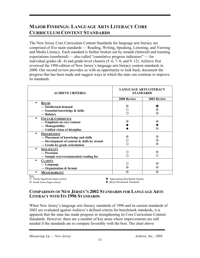## **MAJOR FINDINGS: LANGUAGE ARTS LITERACY CORE CURRICULUM CONTENT STANDARDS**

The New Jersey Core Curriculum Content Standards for language arts literacy are comprised of five main standards — Reading, Writing, Speaking, Listening, and Viewing and Media Literacy. Each standard is further broken out by strands (lettered) and learning expectations (numbered) — also called "cumulative progress indicators" — for individual grades (K–4) and grade-level clusters (5–6, 7–8, and 9–12). Achieve first reviewed the 1996 edition of New Jersey's language arts literacy content standards in 2000. Our second review provides us with an opportunity to look back, document the progress that has been made and suggest ways in which the state can continue to improve its standards.

| <b>ACHIEVE CRITERIA</b>                     | <b>LANGUAGE ARTS LITERACY</b><br><b>STANDARDS</b> |             |
|---------------------------------------------|---------------------------------------------------|-------------|
|                                             | 2000 Review                                       | 2003 Review |
| <b>RIGOR</b>                                |                                                   |             |
| — Intellectual demand                       | ⊙                                                 | О           |
| - Essential knowledge & skills              | ∩                                                 | ⊙           |
| — Balance                                   |                                                   | $\odot$     |
| <b>FOCUS &amp; COHERENCE</b>                |                                                   |             |
| -Emphasis on core content                   | ⊙                                                 | $\odot$     |
| — Manageability                             |                                                   |             |
| — Unified vision of discipline              |                                                   | $\odot$     |
| <b>PROGRESSION</b>                          |                                                   |             |
| - Placement of knowledge and skills         | $\odot$                                           | $_{\odot}$  |
| - Development of content & skills by strand |                                                   | $_{\odot}$  |
| -Grade-by-grade articulation                |                                                   | $\odot$     |
| <b>SPECIFICITY</b>                          |                                                   |             |
| — Precision                                 |                                                   | $_{\odot}$  |
| -Sample text/recommended reading list       |                                                   | ∩           |
| <b>CLARITY</b>                              |                                                   |             |
| — Language                                  |                                                   | $_{\odot}$  |
| -Organization & format                      | ⊙                                                 | $\odot$     |
| <b>MEASURABILITY</b>                        | $\odot$                                           | $\odot$     |

Key:

 $\overline{O}$  Needs Significant Improvement

 $\bullet$  Approaching Benchmark Quality

§ Needs Some Improvement

**•** Meets Benchmark Standards

#### **COMPARISON OF NEW JERSEY'S 2002 STANDARDS FOR LANGUAGE ARTS LITERACY WITH ITS 1996 STANDARDS**

When New Jersey's language arts literacy standards of 1996 and its current standards of 2002 are evaluated against Achieve's defined criteria for benchmark standards, it is apparent that the state has made progress in strengthening its Core Curriculum Content Standards. However, there are a number of key areas where improvements are still needed if the standards are to compare favorably with the best. The chart above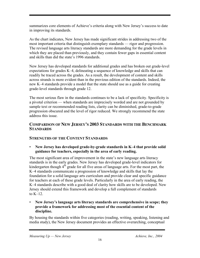summarizes core elements of Achieve's criteria along with New Jersey's success to date in improving its standards.

As the chart indicates, New Jersey has made significant strides in addressing two of the most important criteria that distinguish exemplary standards — rigor and progression. The revised language arts literacy standards are more demanding for the grade levels in which they are placed than previously, and they contain fewer gaps in essential content and skills than did the state's 1996 standards.

New Jersey has developed standards for additional grades and has broken out grade-level expectations for grades K–4, delineating a sequence of knowledge and skills that can readily be traced across the grades. As a result, the development of content and skills across strands is more evident than in the previous edition of the standards. Indeed, the new K–4 standards provide a model that the state should use as a guide for creating grade-level standards through grade 12.

The most serious flaw in the standards continues to be a lack of specificity. Specificity is a pivotal criterion — when standards are imprecisely worded and are not grounded by sample text or recommended reading lists, clarity can be diminished, grade-to-grade progression obscured and the level of rigor reduced. We strongly recommend the state address this issue.

#### **COMPARISON OF NEW JERSEY'S 2003 STANDARDS WITH THE BENCHMARK STANDARDS**

#### **STRENGTHS OF THE CONTENT STANDARDS**

• **New Jersey has developed grade-by-grade standards in K–4 that provide solid guidance for teachers, especially in the area of early reading.**

The most significant area of improvement in the state's new language arts literacy standards is in the early grades. New Jersey has developed grade-level indicators for kindergarten though  $4<sup>th</sup>$  grade for all five areas of language arts. For the most part, the K–4 standards communicate a progression of knowledge and skills that lay the foundation for a solid language arts curriculum and provide clear and specific guidance for teachers at each of these grade levels. Particularly in the area of early reading, the K–4 standards describe with a good deal of clarity how skills are to be developed. New Jersey should extend this framework and develop a full complement of standards to  $K-12$ .

• **New Jersey's language arts literacy standards are comprehensive in scope; they provide a framework for addressing most of the essential content of the discipline.**

By housing the standards within five categories (reading, writing, speaking, listening and media study), the New Jersey document provides an effective overarching, conceptual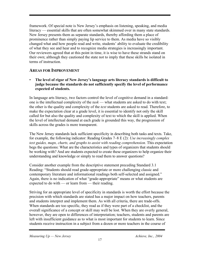framework. Of special note is New Jersey's emphasis on listening, speaking, and media literacy — essential skills that are often somewhat skimmed over in many state standards. New Jersey presents them as separate standards, thereby affording them a place of prominence rather than simply paying lip service to them. As media have so visibly changed what and how people read and write, students' ability to evaluate the credibility of what they see and hear and to recognize media strategies is increasingly important. Our reviewers agreed that at this point in time, it is wise to have these strands stand on their own; although they cautioned the state not to imply that these skills be isolated in terms of instruction.

#### **AREAS FOR IMPROVEMENT**

• **The level of rigor of New Jersey's language arts literacy standards is difficult to judge because the standards do not sufficiently specify the level of performance expected of students.**

In language arts literacy, two factors control the level of cognitive demand in a standard: one is the intellectual complexity of the *task* — what students are asked to do with text; the other is the quality and complexity of the *text* students are asked to read. Therefore, to make the expectation clear at a grade level, it is essential to identify not only the skill called for but also the quality and complexity of text to which the skill is applied. When the level of intellectual demand at each grade is grounded this way, the progression of skills across the grades is more transparent.

The New Jersey standards lack sufficient specificity in describing both tasks and texts. Take, for example, the following indicator: Reading Grades 7–8 E (2): *Use increasingly complex text guides, maps, charts, and graphs to assist with reading comprehension.* This expectation begs the questions: What are the characteristics and types of organizers that students should be working with? And are students expected to create these organizers to help organize their understanding and knowledge or simply to read them to answer questions?

Consider another example from the descriptive statement preceding Standard 3.1 Reading: "Students should read grade-appropriate or more challenging classic and contemporary literature and informational readings both self-selected and assigned." Again, there is no indication of what "grade-appropriate" means or what students are expected to do with — or learn from — their reading.

Striving for an appropriate level of specificity in standards is worth the effort because the precision with which standards are stated has a major impact on how teachers, parents and students interpret and implement them. As with all criteria, there are trade-offs. When standards are too specific, they read as if they were part of a checklist, and the overall significance of a concept or skill may well be lost. When they are overly general, however, they are open to differences of interpretation; teachers, students and parents are left with insufficient guidance as to what is most important for students to learn. Since students receive instruction in a subject from a dozen or more teachers in the course of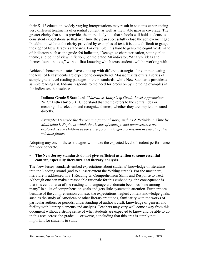their K–12 education, widely varying interpretations may result in students experiencing very different treatments of essential content, as well as inevitable gaps in coverage. The greater clarity that states provide, the more likely it is that schools will hold students to consistent expectations so that over time they can successfully close the achievement gap. In addition, without the clarity provided by examples of text, it is quite difficult to gauge the rigor of New Jersey's standards. For example, it is hard to grasp the cognitive demand of indicators such as the grade 5/6 indicator, "Recognize characterization, setting, plot, theme, and point of view in fiction," or the grade 7/8 indicator, "Analyze ideas and themes found in texts," without first knowing which texts students will be working with.

Achieve's benchmark states have come up with different strategies for communicating the level of text students are expected to comprehend. Massachusetts offers a series of sample grade-level reading passages in their standards, while New Standards provides a sample reading list. Indiana responds to the need for precision by including examples in the indicators themselves:

**Indiana Grade 5 Standard** *"Narrative Analysis of Grade-Level-Appropriate Text,"* **Indicator 5.3.4:** Understand that theme refers to the central idea or meaning of a selection and recognize themes, whether they are implied or stated directly.

*Example: Describe the themes in a fictional story, such as* A Wrinkle in Time *by Madeleine L'Engle, in which the themes of courage and perseverance are explored as the children in the story go on a dangerous mission in search of their scientist father.*

Adopting any one of these strategies will make the expected level of student performance far more concrete.

#### • **The New Jersey standards do not give sufficient attention to some essential content, especially literature and literary analysis.**

The New Jersey standards embed expectations about students' knowledge of literature into the Reading strand (and to a lesser extent the Writing strand). For the most part, literature is addressed in 3.1 Reading G. Comprehension Skills and Response to Text*.* Although one can make a reasonable rationale for this embedding, the consequence is that this central area of the reading and language arts domain becomes "one-amongmany" in a list of comprehension goals and gets little systematic attention. Furthermore, because of the comprehension context, the expectations neglect content knowledge goals, such as the study of American or other literary traditions, familiarity with the works of particular authors or periods, understanding of author's craft, knowledge of genres, and facility with literary elements and analysis. Teachers may very well come away from this document without a strong sense of what students are expected to know and be able to do in this area across the grades — or worse, concluding that this area is simply not important for students to study.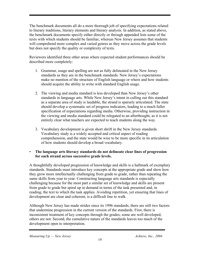The benchmark documents all do a more thorough job of specifying expectations related to literary traditions, literary elements and literary analysis. In addition, as stated above, the benchmark documents specify either directly or through appended lists some of the texts with which students should be familiar, whereas New Jersey assumes that students will comprehend more complex and varied genres as they move across the grade levels but does not specify the quality or complexity of texts.

Reviewers identified three other areas where expected student performances should be described more completely:

- 1. Grammar, usage and spelling are not as fully delineated in the New Jersey standards as they are in the benchmark standards*.* New Jersey's expectations make no mention of the structure of English language or where and how students should acquire the ability to write with standard English usage.
- 2. The viewing and media standard is less developed than New Jersey's other standards in language arts. While New Jersey's intent in culling out this standard as a separate area of study is laudable, the strand is sparsely articulated. The state should develop a systematic set of progress indicators, leading to a much fuller specification of expectations regarding media. Otherwise, providing instruction in the viewing and media standard could be relegated to an afterthought, as it is not entirely clear what teachers are expected to teach students along the way.
- 3. Vocabulary development is given short shrift in the New Jersey standards. Vocabulary study is a widely accepted and critical aspect of reading comprehension, and the state would be wise to be more specific in its articulation of how students should develop a broad vocabulary.

#### • **The language arts literacy standards do not delineate clear lines of progression for each strand across successive grade levels.**

A thoughtfully developed progression of knowledge and skills is a hallmark of exemplary standards. Standards must introduce key concepts at the appropriate grade and show how they grow more intellectually challenging from grade to grade, rather than repeating the same skills from year to year. Constructing language arts standards is especially challenging because for the most part a similar set of knowledge and skills are present from grade to grade but spiral up in demand in terms of the task presented and, in reading, the text to which the task applies. Avoiding repetition, yet ensuring that lines of development are clear and coherent, is a difficult line to walk.

Although New Jersey has made strides since its 1996 standards, there are still two factors that undermine progression in the current version of the standards. First, there is inconsistent treatment of key concepts through the grades; some are well developed, others are not. Second, the cumulative nature of the standards leaves too much of the development open to interpretation.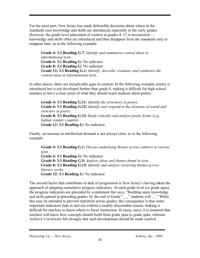For the most part, New Jersey has made defensible decisions about where in the standards core knowledge and skills are introduced, especially in the early grades. However, the grade-level placement of content at grades 4–12 is inconsistent knowledge and skills often are introduced and then disappear from the standards only to reappear later, as in the following example:

**Grade 4: 3.1 Reading G.7:** *Identify and summarize central ideas in informational texts.* **Grade 6: 3.1 Reading G:** No indicator **Grade 8: 3.1 Reading G:** No indicator **Grade 12: 3.1 Reading G.1:** *Identify, describe, evaluate, and synthesize the central ideas in informational texts.*

In other places, there are inexplicable gaps in content. In the following example, poetry is introduced but is not developed further than grade 8, making it difficult for high school teachers to have a clear sense of what they should teach students about poetry.

**Grade 4: 3.1 Reading G.11:** *Identify the structures in poetry.* **Grade 6: 3.1 Reading G.12:** *Identify and respond to the elements of sound and structure in poetry.* **Grade 8: 3.1 Reading G.13:** *Read critically and analyze poetic forms (e.g., ballad, sonnet, couplet).* **Grade 12: 3.1 Reading G:** No indicator

Finally, an increase in intellectual demand is not always clear, as in the following example:

**Grade 4: 3.1 Reading G.1:** *Discuss underlying themes across cultures in various texts.* **Grade 6: 3.1 Reading G:** No indicator **Grade 8: 3.1 Reading G.5:** *Analyze ideas and themes found in texts.* **Grade 8: 3.1 Reading G.12:** *Identify and analyze recurring themes across literary works.* **Grade 12: 3.1 Reading G:** No indicator

The second factor that contributes to lack of progression is New Jersey's having taken the approach of adopting cumulative progress indicators. At each grade level (or grade span), the progress indicators are preceded by a statement that says, "Building upon knowledge and skills gained in preceding grades, by the end of Grade "\_\_," students will …." While this may be intended to prevent repetition across grades, the consequence is that some important indicators fade in and out without a readily discernable reason, making it difficult for teachers to know where to focus instruction. In many cases, it is assumed that teachers will know how concepts should build from grade span to grade span, whereas Achieve's reviewers felt strongly that such development should be made explicit.

*Measuring Up — New Jersey Achieve, Inc., 2004*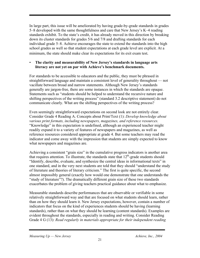In large part, this issue will be ameliorated by having grade-by-grade standards in grades 5–8 developed with the same thoughtfulness and care that New Jersey's K–4 reading standards exhibit. To the state's credit, it has already moved in this direction by breaking down its cluster standards for grades 5/6 and 7/8 and drafting standards for each individual grade 5–8. Achieve encourages the state to extend the standards into the high school grades as well so that student expectations at each grade level are explicit. At a minimum, the state should make clear its expectations for its exit exam test.

#### • **The clarity and measurability of New Jersey's standards in language arts literacy are not yet on par with Achieve's benchmark documents.**

For standards to be accessible to educators and the public, they must be phrased in straightforward language and maintain a consistent level of generality throughout — not vacillate between broad and narrow statements. Although New Jersey's standards generally are jargon-free, there are some instances in which the standards are opaque. Statements such as "students should be helped to understand the recursive nature and shifting perspectives of the writing process" (standard 3.2 descriptive statement) do not communicate clearly. What are the shifting perspectives of the writing process?

Even seemingly straightforward expectations on second look are not entirely clear. Consider Grade 4 Reading A. Concepts about Print/Text (1): *Develop knowledge about various print formats, including newspapers, magazines, and reference resources.* "Knowledge" in this expectation is undefined, although an experienced teacher might readily expand it to a variety of features of newspapers and magazines, as well as reference resources considered appropriate at grade 4. But some teachers may read the indicator and come away with the impression that students are simply expected to know what newspapers and magazines are.

Achieving a consistent "grain size" in the cumulative progress indicators is another area that requires attention. To illustrate, the standards state that  $12<sup>th</sup>$ -grade students should "Identify, describe, evaluate, and synthesize the central ideas in informational texts" in one standard, and in the very next students are told that they should "understand the study of literature and theories of literary criticism." The first is quite specific, the second almost impossibly general (exactly how would one demonstrate that one understands the "study of literature"?). The dramatically different grain size of these two standards exacerbates the problem of giving teachers practical guidance about what to emphasize.

Measurable standards describe performances that are observable or verifiable in some relatively straightforward way and that are focused on what students should learn, rather than on how they should learn it. New Jersey expectations, however, contain a number of indicators that focus on the kind of experiences students should be having (learning standards), rather than on what they should be learning (content standards). Examples are evident throughout the standards, especially in reading and writing. Consider Reading Grade 4 G (13): *Read regularly in materials appropriate for their independent reading*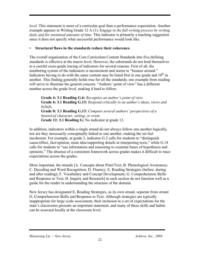*level.* This statement is more of a curricular goal than a performance expectation. Another example appears in Writing Grade 12 A (1): *Engage in the full writing process by writing daily and for sustained amounts of time*. This indicator is primarily a teaching suggestion since it does not specify what successful performance would look like.

#### • **Structural flaws in the standards reduce their coherence.**

The overall organization of the Core Curriculum Content Standards into five defining standards is effective at the macro level. However, the substrands do not lend themselves to a careful cross-grade tracing of indicators for several reasons. First of all, the numbering system of the indicators is inconsistent and seems to "bounce around." Indicators having to do with the same content may be listed first in one grade and  $10<sup>th</sup>$  in another. This finding generally holds true for all the standards; one example from reading will serve to illustrate the general concern. "Authors' point of view" has a different number across the grade level, making it hard to follow.

**Grade 4: 3.1 Reading G.6:** *Recognize an author's point of view.* **Grade 6: 3.1 Reading G.13:** *Respond critically to an author's ideas, views and beliefs***.**

**Grade 8: 3.1 Reading G.13:** *Compare several authors' perspectives of a historical character, setting, or event.* **Grade 12: 3.1 Reading G:** No indicator at grade 12.

In addition, indicators within a single strand do not always follow one another logically, nor are they necessarily conceptually linked to one another, making the set feel incoherent. For example, at grade 3, indicator G.2 calls for students to "distinguish cause/effect, fact/opinion, main idea/supporting details in interpreting texts," while G.14 calls for students to "use information and reasoning to examine bases of hypotheses and opinions." The absence of a consistent framework across grades makes it difficult to trace expectations across the grades.

More important, the strands [A. Concepts about Print/Text; B. Phonological Awareness; C. Decoding and Word Recognition; D. Fluency; E. Reading Strategies (before, during and after reading); F. Vocabulary and Concept Development; G. Comprehension Skills and Response to Text; H. Inquiry and Research] in each section do not function well as a guide for the reader in understanding the structure of the domain.

New Jersey has designated E, Reading Strategies, as its own strand, separate from strand G, Comprehension Skills and Response to Text. Although strategies are typically inappropriate for large-scale assessment, their inclusion in a set of expectations for the state's classrooms presents an important statement, and many of these skills and habits can be assessed locally at the classroom level.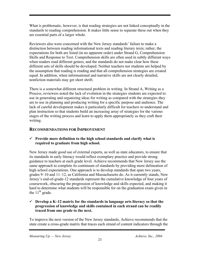What is problematic, however, is that reading strategies are not linked conceptually in the standards to reading comprehension. It makes little sense to separate these out when they are essential parts of a larger whole.

Reviewers also were concerned with the New Jersey standards' failure to make a distinction between reading informational texts and reading literary texts; rather, the expectations for both are listed (in no apparent order) under Strand G, Comprehension Skills and Response to Text. Comprehension skills are often used in subtly different ways when readers read different genres, and the standards do not make clear how these different sets of skills should be developed. Neither teachers nor students are helped by the assumption that reading is reading and that all comprehension strategies are created equal. In addition, when informational and narrative skills are not clearly detailed, nonfiction materials may get short shrift.

There is a somewhat different structural problem in writing. In Strand A, Writing as a Process, reviewers noted the lack of evolution in the strategies students are expected to use in generating and organizing ideas for writing as compared with the strategies they are to use in planning and producing writing for a specific purpose and audience*.* The lack of careful development makes it particularly difficult for teachers to understand and plan instruction so that students build an increasing array of strategies for the various stages of the writing process and learn to apply them appropriately as they craft their writing.

#### **RECOMMENDATIONS FOR IMPROVEMENT**

#### ¸ **Provide more definition to the high school standards and clarify what is required to graduate from high school.**

New Jersey made good use of external experts, as well as state educators, to ensure that its standards in early literacy would reflect exemplary practice and provide strong guidance to teachers at each grade level. Achieve recommends that New Jersey use the same approach to complete its continuum of standards by providing more delineation of high school expectations. One approach is to develop standards that span two years, grades 9–10 and 11–12, as California and Massachusetts do. As it currently stands, New Jersey's end-of-grade-12 standards represent the cumulative knowledge of four years of coursework, obscuring the progression of knowledge and skills expected, and making it hard to determine what students will be responsible for on the graduation exam given in the  $11<sup>th</sup>$  grade.

#### $\checkmark$  Develop a K–12 matrix for the standards in language arts literacy so that the **progression of knowledge and skills contained in each strand can be readily traced from one grade to the next.**

To improve the next version of the New Jersey standards, Achieve recommends that the state create a cross-grade matrix that traces each strand of content indicators through the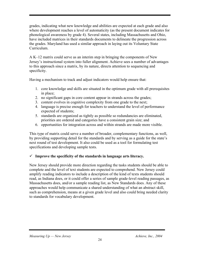grades, indicating what new knowledge and abilities are expected at each grade and also where development reaches a level of automaticity (as the present document indicates for phonological awareness by grade 4). Several states, including Massachusetts and Ohio, have included matrices in their standards documents to delineate the progression across the grades. Maryland has used a similar approach in laying out its Voluntary State Curriculum.

A K–12 matrix could serve as an interim step in bringing the components of New Jersey's instructional system into fuller alignment. Achieve sees a number of advantages to this approach since a matrix, by its nature, directs attention to sequencing and specificity.

Having a mechanism to track and adjust indicators would help ensure that:

- 1. core knowledge and skills are situated in the optimum grade with all prerequisites in place;
- 2. no significant gaps in core content appear in strands across the grades;
- 3. content evolves in cognitive complexity from one grade to the next;
- 4. language is precise enough for teachers to understand the level of performance expected of students;
- 5. standards are organized as tightly as possible so redundancies are eliminated, priorities are ordered and categories have a consistent grain size; and
- 6. opportunities for integration across and within strands are made more visible.

This type of matrix could serve a number of broader, complementary functions, as well, by providing supporting detail for the standards and by serving as a guide for the state's next round of test development. It also could be used as a tool for formulating test specifications and developing sample tests.

#### $\checkmark$  Improve the specificity of the standards in language arts literacy.

New Jersey should provide more direction regarding the tasks students should be able to complete and the level of text students are expected to comprehend. New Jersey could amplify reading indicators to include a description of the kind of texts students should read, as Indiana does, or it could offer a series of sample grade-level reading passages, as Massachusetts does, and/or a sample reading list, as New Standards does. Any of these approaches would help communicate a shared understanding of what an abstract skill, such as comprehension, means at a given grade level and also could bring needed clarity to standards for vocabulary development.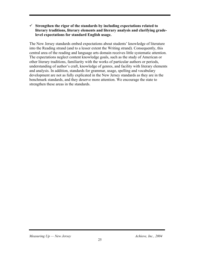#### $\checkmark$  Strengthen the rigor of the standards by including expectations related to **literary traditions, literary elements and literary analysis and clarifying gradelevel expectations for standard English usage.**

The New Jersey standards embed expectations about students' knowledge of literature into the Reading strand (and to a lesser extent the Writing strand). Consequently, this central area of the reading and language arts domain receives little systematic attention. The expectations neglect content knowledge goals, such as the study of American or other literary traditions, familiarity with the works of particular authors or periods, understanding of author's craft, knowledge of genres, and facility with literary elements and analysis. In addition, standards for grammar, usage, spelling and vocabulary development are not as fully explicated in the New Jersey standards as they are in the benchmark standards, and they deserve more attention. We encourage the state to strengthen these areas in the standards.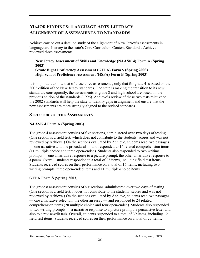## **MAJOR FINDINGS: LANGUAGE ARTS LITERACY ALIGNMENT OF ASSESSMENTS TO STANDARDS**

Achieve carried out a detailed study of the alignment of New Jersey's assessments in language arts literacy to the state's Core Curriculum Content Standards. Achieve reviewed three assessments:

#### **New Jersey Assessment of Skills and Knowledge (NJ ASK 4) Form A (Spring 2003) Grade Eight Proficiency Assessment (GEPA) Form S (Spring 2003) High School Proficiency Assessment (HSPA) Form B (Spring 2003)**

It is important to note that of these three assessments, only that for grade 4 is based on the 2002 edition of the New Jersey standards. The state is making the transition to its new standards; consequently, the assessments at grade 8 and high school are based on the previous edition of the standards (1996). Achieve's review of these two tests relative to the 2002 standards will help the state to identify gaps in alignment and ensure that the new assessments are more strongly aligned to the revised standards.

#### **STRUCTURE OF THE ASSESSMENTS**

#### **NJ ASK 4 Form A (Spring 2003)**

The grade 4 assessment consists of five sections, administered over two days of testing. (One section is a field test, which does not contribute to the students' scores and was not reviewed by Achieve.) On the sections evaluated by Achieve, students read two passages — one narrative and one procedural — and responded to 14 related comprehension items (11 multiple choice and three open-ended). Students also responded to two writing prompts — one a narrative response to a picture prompt, the other a narrative response to a poem. Overall, students responded to a total of 23 items, including field test items. Students received scores on their performance on a total of 16 items, including two writing prompts, three open-ended items and 11 multiple-choice items.

#### **GEPA Form S (Spring 2003)**

The grade 8 assessment consists of six sections, administered over two days of testing. (One section is a field test; it does not contribute to the students' scores and was not reviewed by Achieve.) On the sections evaluated by Achieve, students read two passages — one a narrative selection, the other an essay — and responded to 24 related comprehension items (20 multiple choice and four open-ended). Students also responded to two writing prompts — a narrative response to a picture prompt, a persuasive letter and also to a revise-edit task. Overall, students responded to a total of 39 items, including 12 field test items. Students received scores on their performance on a total of 27 items,

*Measuring Up — New Jersey Achieve, Inc., 2004*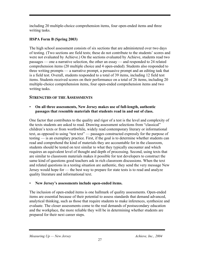including 20 multiple-choice comprehension items, four open-ended items and three writing tasks.

#### **HSPA Form B (Spring 2003)**

The high school assessment consists of six sections that are administered over two days of testing. (Two sections are field tests; these do not contribute to the students' scores and were not evaluated by Achieve.) On the sections evaluated by Achieve, students read two passages — one a narrative selection, the other an essay — and responded to 24 related comprehension items (20 multiple choice and 4 open-ended). Students also responded to three writing prompts — a narrative prompt, a persuasive prompt and an editing task that is a field test. Overall, students responded to a total of 39 items, including 12 field test items. Students received scores on their performance on a total of 26 items, including 20 multiple-choice comprehension items, four open-ended comprehension items and two writing tasks.

#### **STRENGTHS OF THE ASSESSMENTS**

• **On all three assessments, New Jersey makes use of full-length, authentic passages that resemble materials that students read in and out of class.**

One factor that contributes to the quality and rigor of a test is the level and complexity of the texts students are asked to read. Drawing assessment selections from "classical" children's texts or from worthwhile, widely read contemporary literary or informational text, as opposed to using "test text" — passages constructed expressly for the purpose of testing — is an exemplary practice. First, if the goal is to determine whether students can read and comprehend the kind of materials they are accountable for in the classroom, students should be tested on text similar to what they typically encounter and which requires an equivalent level of thought and depth of processing. Second, using texts that are similar to classroom materials makes it possible for test developers to construct the same kind of questions good teachers ask in rich classroom discussions. When the text and related questions in a testing situation are authentic, they send the very message New Jersey would hope for — the best way to prepare for state tests is to read and analyze quality literature and informational text.

#### • **New Jersey's assessments include open-ended items.**

The inclusion of open-ended items is one hallmark of quality assessments. Open-ended items are essential because of their potential to assess standards that demand advanced, analytical thinking, such as those that require students to make inferences, synthesize and evaluate. The closer assessments come to the real demands of postsecondary education and the workplace, the more reliable they will be in determining whether students are prepared for their next career steps.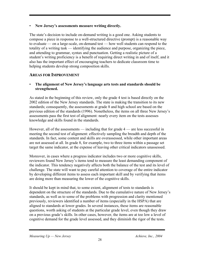• **New Jersey's assessments measure writing directly.**

The state's decision to include on-demand writing is a good one. Asking students to compose a piece in response to a well-structured directive (prompt) is a reasonable way to evaluate — on a large-scale, on-demand test — how well students can respond to the totality of a writing task — identifying the audience and purpose, organizing the piece, and attending to grammar, syntax and punctuation. Getting a realistic picture of a student's writing proficiency is a benefit of requiring direct writing in and of itself, and it also has the important effect of encouraging teachers to dedicate classroom time to helping students develop strong composition skills.

#### **AREAS FOR IMPROVEMENT**

• **The alignment of New Jersey's language arts tests and standards should be strengthened.**

As stated in the beginning of this review, only the grade 4 test is based directly on the 2002 edition of the New Jersey standards. The state is making the transition to its new standards; consequently, the assessments at grade 8 and high school are based on the previous edition of the standards (1996). Nonetheless, the items on all three New Jersey's assessments pass the first test of alignment: nearly every item on the tests assesses knowledge and skills found in the standards.

However, all of the assessments — including that for grade 4 — are less successful in meeting the second test of alignment: effectively sampling the breadth and depth of the standards. In fact, some content and skills are overassessed, while other important areas are not assessed at all. In grade 8, for example, two to three items within a passage set target the same indicator, at the expense of leaving other critical indicators unassessed.

Moreover, in cases where a progress indicator includes two or more cognitive skills, reviewers found New Jersey's items tend to measure the least demanding component of the indicator. This tendency negatively affects both the balance of the test and its level of challenge. The state will want to pay careful attention to coverage of the entire indicator by developing different items to assess each important skill and by verifying that items are doing more than measuring the lower of the cognitive skills.

It should be kept in mind that, to some extent, alignment of tests to standards is dependent on the structure of the standards. Due to the cumulative nature of New Jersey's standards, as well as to some of the problems with progression and clarity mentioned previously, reviewers identified a number of items (especially in the HSPA) that are aligned to standards at lower grades. In several instances, these items are reasonable questions, worth asking of students at the particular grade level, even though they draw on a previous grade's skills. In other cases, however, the items are at too low a level of cognitive demand for the grade level assessed, and they diminish the rigor of the tests.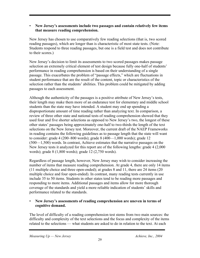#### • **New Jersey's assessments include two passages and contain relatively few items that measure reading comprehension.**

New Jersey has chosen to use comparatively few reading selections (that is, two scored reading passages), which are longer than is characteristic of most state tests. (Note: Students respond to three reading passages, but one is a field test and does not contribute to their scores.)

New Jersey's decision to limit its assessments to two scored passages makes passage selection an extremely critical element of test design because fully one-half of students' performance in reading comprehension is based on their understanding of a single passage. This exacerbates the problem of "passage effects," which are fluctuations in student performance that are the result of the content, topic or characteristics of the selection rather than the students' abilities. This problem could be mitigated by adding passages to each assessment.

Although the authenticity of the passages is a positive attribute of New Jersey's tests, their length may make them more of an endurance test for elementary and middle school students than the state may have intended. A student may end up spending a disproportionate amount of time reading rather than analyzing text. In comparison, a review of three other state and national tests of reading comprehension showed that they used four and five shorter selections as opposed to New Jersey's two, the longest of these other states' passages being approximately one-half to two-thirds the length of the text selections on the New Jersey test. Moreover, the current draft of the NAEP Frameworks in reading contains the following guidelines as to passage length that the state will want to consider: grade 4 (200–800 words); grade 8 (400—1,000 words); grade 12 (500—1,500) words. In contrast, Achieve estimates that the narrative passages on the New Jersey tests it analyzed for this report are of the following lengths: grade 4 (2,000 words); grade 8 (1,800 words); grade 12 (2,750 words).

Regardless of passage length, however, New Jersey may wish to consider increasing the number of items that measure reading comprehension. At grade 4, there are only 14 items (11 multiple choice and three open-ended); at grades 8 and 11, there are 24 items (20 multiple choice and four open-ended). In contrast, many reading tests currently in use include 35 to 50 items. Students in other states tend to be reading more passages and responding to more items. Additional passages and items allow for more thorough coverage of the standards and yield a more reliable indication of students' skills and performance related to the standards.

#### • **New Jersey's assessments of reading comprehension are uneven in terms of cognitive demand.**

The level of difficulty of a reading comprehension test stems from two main sources: the difficulty and complexity of the text selections and the focus and complexity of the items related to the selections — what students are asked to do in relation to the text. At each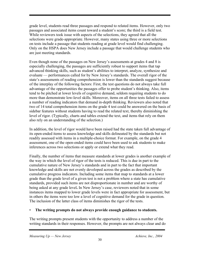grade level, students read three passages and respond to related items. However, only two passages and associated items count toward a student's score; the third is a field test. While reviewers took issue with aspects of the selections, they agreed that all the selections were grade-appropriate. However, many states using three or more selections on tests include a passage that students reading at grade level would find challenging. Only on the HSPA does New Jersey include a passage that would challenge students who are just meeting standards.

Even though none of the passages on New Jersey's assessments at grades 4 and 8 is especially challenging, the passages are sufficiently robust to support items that tap advanced thinking skills, such as student's abilities to interpret, analyze, synthesize and evaluate — performances called for by New Jersey's standards. The overall rigor of the state's assessments of reading comprehension is lower than the standards suggest because of the interplay of the following factors: First, the test questions do not always take full advantage of the opportunities the passages offer to probe student's thinking. Also, items tend to be pitched at lower levels of cognitive demand, seldom requiring students to do more than demonstrate low-level skills. Moreover, items on all three tests failed to assess a number of reading indicators that demand in-depth thinking. Reviewers also noted that two of 14 total comprehension items on the grade 4 test could be answered on the basis of sidebar features without students having to read the related text, thereby diminishing the level of rigor. (Typically, charts and tables extend the text, and items that rely on them also rely on an understanding of the selection.)

In addition, the level of rigor would have been raised had the state taken full advantage of its open-ended items to assess knowledge and skills delineated by the standards but not readily assessed with items in a multiple-choice format. For example, on the grade 4 assessment, one of the open-ended items could have been used to ask students to make inferences across two selections or apply or extend what they read.

Finally, the number of items that measure standards at lower grades is another example of the way in which the level of rigor of the tests is reduced. This is due in part to the cumulative nature of New Jersey's standards and in part to the fact that important knowledge and skills are not evenly developed across the grades as described by the cumulative progress indicators. Including some items that map to standards at a lower grade than the grade level of a given test is not a problem where a state has cumulative standards, provided such items are not disproportionate in number and are worthy of being asked at any grade level**.** In New Jersey's case, reviewers noted that in some instances items mapped to lower grade levels were in fact appropriate for assessment, but in others the items were too low a level of cognitive demand for the grade in question. The inclusion of the latter class of items diminishes the rigor of the tests.

#### • **The writing prompts do not always provide enough guidance to students.**

The writing prompts present students with the opportunity to address a number of the writing standards in their responses. However, the prompts are not always clear and do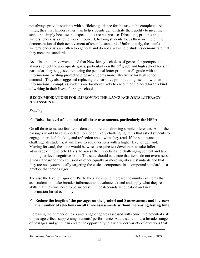not always provide students with sufficient guidance for the task to be completed. At times, they may hinder rather than help students demonstrate their ability to meet the standard, simply because the expectations are not precise. Directions, prompts and writers' checklists should work in concert, helping students focus their writing on the demonstration of their achievement of specific standards. Unfortunately, the state's writer's checklists are often too general and do not always help students demonstrate that they meet the standards.

As a final note, reviewers noted that New Jersey's choices of genres for prompts do not always reflect the appropriate goals, particularly on the  $8<sup>th</sup>$  grade and high school tests. In particular, they suggested replacing the personal letter prompt at  $8<sup>th</sup>$  grade with an informational writing prompt to prepare students more effectively for high school demands. They also suggested replacing the narrative prompt at high school with an informational prompt, as students are far more likely to encounter the need for this kind of writing in their lives after high school.

#### **RECOMMENDATIONS FOR IMPROVING THE LANGUAGE ARTS LITERACY ASSESSMENTS**

#### *Reading*

#### $\checkmark$  Raise the level of demand of all three assessments, particularly the HSPA.

On all three tests, too few items demand more than drawing simple inferences. All of the passages would have supported more cognitively challenging items that asked students to engage in critical thinking and reflection about what they read. If the state wants to challenge all students, it will have to add questions with a higher level of demand. Moving forward, the state would be wise to require test developers to take fuller advantage of the selected texts, to assess the important and challenging content and tap into higher-level cognitive skills. The state should take care that items do not overassess a given standard to the exclusion of other equally or more significant standards and that they are not systematically targeting the easiest component in a compound standard — a practice that erodes rigor.

To raise the level of rigor on HSPA, the state should increase the number of items that ask students to make broader inferences and evaluate, extend and apply what they read skills that they will need to be successful in postsecondary education and in an information-based economy.

#### $\checkmark$  Reduce the length of the passages on the grade 4 and 8 assessments and increase **the number of selections on all three assessments without increasing testing time.**

Increasing the number of texts and range of genres assessed will reduce the potential risk of passage effects suppressing students' performance. At the same time, a broader range of passages and genre can create the opportunity to ask a wider variety of questions that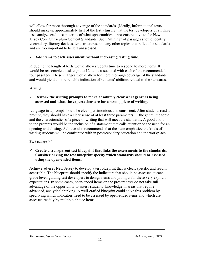will allow for more thorough coverage of the standards. (Ideally, informational texts should make up approximately half of the test.) Ensure that the test developers of all three tests analyze each text in terms of what opportunities it presents relative to the New Jersey Core Curriculum Content Standards. Such "mining" of passages should identify vocabulary, literary devices, text structures, and any other topics that reflect the standards and are too important to be left unassessed.

#### $\checkmark$  Add items to each assessment, without increasing testing time.

Reducing the length of texts would allow students time to respond to more items. It would be reasonable to ask eight to 12 items associated with each of the recommended four passages. These changes would allow for more thorough coverage of the standards and would yield a more reliable indication of students' abilities related to the standards.

#### *Writing*

#### ¸ **Rework the writing prompts to make absolutely clear what genre is being assessed and what the expectations are for a strong piece of writing.**

Language in a prompt should be clear, parsimonious and consistent. After students read a prompt, they should have a clear sense of at least three parameters — the genre, the topic and the characteristics of a piece of writing that will meet the standards. A good addition to the prompts would be the inclusion of a statement that calls attention to the need for an opening and closing. Achieve also recommends that the state emphasize the kinds of writing students will be confronted with in postsecondary education and the workplace.

#### *Test Blueprint*

#### $\checkmark$  Create a transparent test blueprint that links the assessments to the standards. **Consider having the test blueprint specify which standards should be assessed using the open-ended items.**

Achieve advises New Jersey to develop a test blueprint that is clear, specific and readily accessible. The blueprint should specify the indicators that should be assessed at each grade level, guiding test developers to design items and prompts for these very explicit expectations. In some cases, open-ended items on the present tests do not take full advantage of the opportunity to assess students' knowledge in areas that require advanced, analytical thinking. A well-crafted blueprint could solve this problem by specifying which indicators need to be assessed by open-ended items and which are assessed readily by multiple-choice items.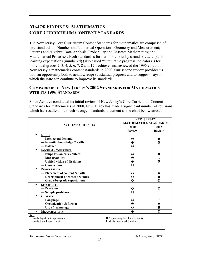## **MAJOR FINDINGS: MATHEMATICS CORE CURRICULUM CONTENT STANDARDS**

The New Jersey Core Curriculum Content Standards for mathematics are comprised of five standards — Number and Numerical Operations; Geometry and Measurement; Patterns and Algebra; Data Analysis, Probability and Discrete Mathematics; and Mathematical Processes. Each standard is further broken out by strands (lettered) and learning expectations (numbered) (also called "cumulative progress indicators") for individual grades 2, 3, 4, 5, 6, 7, 8 and 12. Achieve first reviewed the 1996 edition of New Jersey's mathematics content standards in 2000. Our second review provides us with an opportunity both to acknowledge substantial progress and to suggest ways in which the state can continue to improve its standards.

#### **COMPARISON OF NEW JERSEY'S 2002 STANDARDS FOR MATHEMATICS WITH ITS 1996 STANDARDS**

Since Achieve conducted its initial review of New Jersey's Core Curriculum Content Standards for mathematics in 2000, New Jersey has made a significant number of revisions, which has resulted in a much stronger standards document as the chart below attests:

| <b>ACHIEVE CRITERIA</b>           | <b>NEW JERSEY</b>            |               |
|-----------------------------------|------------------------------|---------------|
|                                   | <b>MATHEMATICS STANDARDS</b> |               |
|                                   | 2000                         | 2003          |
|                                   | <b>Review</b>                | <b>Review</b> |
| <b>RIGOR</b>                      |                              |               |
| - Intellectual demand             | $_{\odot}$                   |               |
| - Essential knowledge & skills    | $_{\odot}$                   | O             |
| — Balance                         | $\odot$                      | $\odot$       |
| <b>FOCUS &amp; COHERENCE</b>      |                              |               |
| - Emphasis on core content        | ⊙                            | O             |
| — Manageability                   | ⊙                            | $_{\odot}$    |
| - Unified vision of discipline    | $_{\odot}$                   | O             |
| — Connections                     | Ο                            | $\odot$       |
| <b>PROGRESSION</b>                |                              |               |
| - Placement of content & skills   | Ω                            |               |
| - Development of content & skills | ∩                            | O             |
| -Grade-by-grade expectations      | ∩                            | $_{\odot}$    |
| <b>SPECIFICITY</b>                |                              |               |
| — Precision                       | О                            | $\odot$       |
| -Sample problems                  | ∩                            | ∩             |
| <b>CLARITY</b>                    |                              |               |
| — Language                        | ⊙                            | $_{\odot}$    |
| - Organization & format           | ⊙                            |               |
| -Use of technology                | О                            | O             |
| <b>MEASURABILITY</b>              | $_{\odot}$                   | $_{\odot}$    |

Key:

 $\overline{O}$  Needs Significant Improvement § Needs Some Improvement

 $\bullet$  Approaching Benchmark Quality

 $\bullet$  Meets Benchmark Standards

*Measuring Up — New Jersey Achieve, Inc., 2004*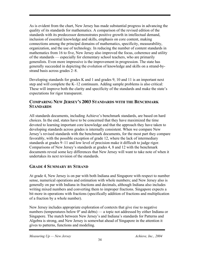As is evident from the chart, New Jersey has made substantial progress in advancing the quality of its standards for mathematics. A comparison of the revised edition of the standards with its predecessor demonstrates positive growth in intellectual demand, inclusion of essential knowledge and skills, emphasis on core content, making connections among the principal domains of mathematics, specificity, measurability, organization, and the use of technology. In reducing the number of content standards in mathematics from 16 to five, New Jersey also improved the focus, coherence and utility of the standards — especially for elementary school teachers, who are primarily generalists. Even more impressive is the improvement in progression. The state has generally succeeded in depicting the evolution of knowledge and skills on a strand-bystrand basis across grades 2–8.

Developing standards for grades K and 1 and grades 9, 10 and 11 is an important next step and will complete the K–12 continuum. Adding sample problems is also critical: These will improve both the clarity and specificity of the standards and make the state's expectations for rigor transparent.

#### **COMPARING NEW JERSEY'S 2003 STANDARDS WITH THE BENCHMARK STANDARDS**

All standards documents, including Achieve's benchmark standards, are based on hard choices. In the end, states have to be concerned that they have maximized the time devoted to learning important core knowledge and that the approach they have taken to developing standards across grades is internally consistent. When we compare New Jersey's revised standards with the benchmark documents, for the most part they compare favorably, with the possible exception of grade 12, where the lack of intermediary standards at grades 9–11 and low level of precision make it difficult to judge rigor. Comparisons of New Jersey's standards at grades 4, 8 and 12 with the benchmark documents reveal some key differences that New Jersey will want to take note of when it undertakes its next revision of the standards.

#### **GRADE 4 SUMMARY BY STRAND**

At grade 4, New Jersey is on par with both Indiana and Singapore with respect to number sense, numerical operations and estimation with whole numbers; and New Jersey also is generally on par with Indiana in fractions and decimals, although Indiana also includes writing mixed numbers and converting them to improper fractions. Singapore expects a bit more in operations with fractions (specifically addition of fractions and multiplication of a fraction by a whole number).

New Jersey includes appropriate exploration of contexts that give rise to negative numbers (temperatures below 0<sup>°</sup> and debts) — a topic not addressed by either Indiana or Singapore. The match between New Jersey's and Indiana's standards for Patterns and Algebra is strong, and New Jersey is somewhat ahead of Singapore in the attention it gives to patterns, functions and modeling.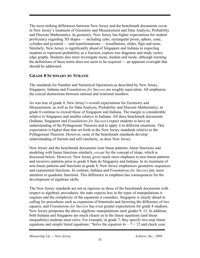The most striking differences between New Jersey and the benchmark documents occur in New Jersey's treatment of Geometry and Measurement and Data Analysis, Probability and Discrete Mathematics. In geometry, New Jersey has higher expectations for student proficiency regarding 3D shapes — including cube, rectangular prism, sphere, cone, cylinder and pyramid — and transformations — tessellations, slides, flips and turns. Similarly, New Jersey is significantly ahead of Singapore and Indiana in expecting students to represent probability as a fraction, explore tree diagrams and study vertex edge graphs. Students also must investigate mean, median and mode, although learning the definitions of these terms does not seem to be required — an apparent oversight that should be addressed.

#### **GRADE 8 SUMMARY BY STRAND**

The standards for Number and Numerical Operations as described by New Jersey, Singapore, Indiana and *Foundations for Success* are roughly equivalent. All emphasize the crucial distinctions between rational and irrational numbers.

As was true of grade 4, New Jersey's overall expectations for Geometry and Measurement, as well as for Data Analysis, Probability and Discrete Mathematics, in grade 8 continue to exceed those of Singapore and Indiana. The margin is considerable relative to Singapore and smaller relative to Indiana. All three benchmark documents (Indiana, Singapore and *Foundations for Success*) expect students to have an understanding of the Pythagorean Theorem and to apply it in different situations. This expectation is higher than that set forth in the New Jersey standards relative to the Pythagorean Theorem. However, none of the benchmark standards develop understanding of fractals and self-similarity, as does New Jersey.

New Jersey and the benchmark documents treat linear patterns, linear functions and modeling with linear functions similarly, *except* for the concept of slope, which is discussed below. However, New Jersey gives much more emphasis to non-linear patterns and recursive patterns prior to grade 8 than do Singapore and Indiana. In its treatment of non-linear patterns and functions in grade 8, New Jersey emphasizes geometric sequences and exponential functions. In contrast, Indiana and *Foundations for Success* pay more attention to quadratic functions. This difference in emphasis has consequences for the development of algebraic skills.

The New Jersey standards are not as rigorous as those of the benchmark documents with respect to algebraic procedures; the state expects less in the types of manipulations it requires and the complexity of the equations it considers. Singapore is clearly ahead in calling for procedures such as expansion of binomials and factoring the difference of two squares, and *Foundations for Success* has even greater expectations for grade 8 students. New Jersey postpones the above algebraic manipulations until grades 9–12. In addition, both Indiana and Singapore are much clearer as to the linear equations (and linear inequalities) students must solve. For example, in grade 7, they specify two-step linear equations and simple literal equations: "Solve the equation  $4x - 7 = 12$  and check your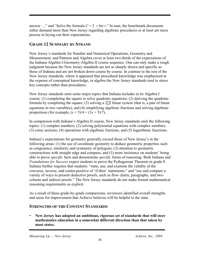answer ..." and "Solve the formula  $C = 2\pi r$  for *r*." In sum, the benchmark documents either demand more than New Jersey regarding algebraic procedures or at least are more precise in laying out their expectations.

#### **GRADE 12 SUMMARY BY STRAND**

New Jersey's standards for Number and Numerical Operations, Geometry and Measurement, and Patterns and Algebra cover at least two-thirds of the expectations of the Indiana Algebra I-Geometry-Algebra II course sequence. One can only make a rough judgment because the New Jersey standards are not as sharply drawn and specific as those of Indiana and are not broken down course by course. In contrast to the rest of the New Jersey standards, where it appeared that procedural knowledge was emphasized at the expense of conceptual knowledge, in algebra the New Jersey standards tend to stress key concepts rather than procedures.

New Jersey standards omit some major topics that Indiana includes in its Algebra I course: (1) completing the square to solve quadratic equations; (2) deriving the quadratic formula by completing the square; (3) solving a  $2\times 2$  linear system (that is, a pair of linear equations in two variables); and (4) simplifying algebraic fractions and solving algebraic proportions (for example,  $(x + 5)/4 = (3x + 5)/7$ ).

In comparison with Indiana's Algebra II course, New Jersey standards omit the following topics: (1) complex numbers, (2) solving polynomial equations with complex numbers, (3) conic sections, (4) operations with algebraic fractions, and (5) logarithmic functions.

Indiana's expectations for geometry generally exceed those of New Jersey's in the following areas: (1) the use of coordinate geometry to deduce geometric properties such as congruence, similarity and symmetry of polygons; (2) attention to geometric constructions with straight edge and compass; and (3) more insistence on students' being able to prove *specific* facts and demonstrate *specific* forms of reasoning. Both Indiana and *Foundations for Success* expect students to prove the Pythagorean Theorem in grade 8. Indiana further requires that students: "state, use, and examine the validity of the converse, inverse, and contra-positive of 'if-then' statements," and "use and compare a variety of ways to present deductive proofs, such as flow charts, paragraphs, and twocolumn and indirect proofs." The New Jersey standards do not make formal mathematical reasoning requirements so explicit.

As a result of these grade-by-grade comparisons, reviewers identified overall strengths and areas for improvement that Achieve believes will be helpful to the state.

#### **STRENGTHS OF THE CONTENT STANDARDS**

• **New Jersey has adopted an ambitious, rigorous set of standards that will steer mathematics education in a somewhat different direction than that taken by most states.**

*Measuring Up — New Jersey Achieve, Inc., 2004*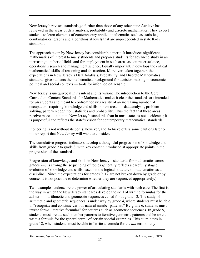New Jersey's revised standards go further than those of any other state Achieve has reviewed in the areas of data analysis, probability and discrete mathematics. They expect students to learn elements of contemporary applied mathematics such as statistics, combinatorics, graphs and algorithms at levels that are unprecedented in state K–12 standards.

The approach taken by New Jersey has considerable merit. It introduces significant mathematics of interest to many students and prepares students for advanced study in an increasing number of fields and for employment in such areas as computer science, operations research and management science. Equally important, it develops the critical mathematical skills of reasoning and abstraction. Moreover, taken together, the expectations in New Jersey's Data Analysis, Probability, and Discrete Mathematics standards give students the mathematical background for decision making in economic, political and social contexts — tools for informed citizenship.

New Jersey is unequivocal in its intent and its vision: The introduction to the Core Curriculum Content Standards for Mathematics makes it clear the standards are intended for *all* students and meant to confront today's reality of an increasing number of occupations requiring knowledge and skills in new areas — data analysis, problemsolving, pattern recognition, statistics and probability. Thus the fact that these areas receive more attention in New Jersey's standards than in most states is not accidental; it is purposeful and reflects the state's vision for contemporary mathematical standards.

Pioneering is not without its perils, however, and Achieve offers some cautions later on in our report that New Jersey will want to consider.

The cumulative progress indicators develop a thoughtful progression of knowledge and skills from grade 2 to grade 8, with key content introduced at appropriate points in the progression of the standards.

Progression of knowledge and skills in New Jersey's standards for mathematics across grades 2–8 is strong; the sequencing of topics generally reflects a carefully staged evolution of knowledge and skills based on the logical structure of mathematics as a discipline. (Since the expectations for grades 9–12 are not broken down by grade or by course, it is not possible to determine whether they are sequenced appropriately.)

Two examples underscore the power of articulating standards with such care. The first is the way in which the New Jersey standards develop the skill of writing formulas for the *nth* term of arithmetic and geometric sequences called for at grade 12. The study of arithmetic and geometric sequences is under way by grade 4, where students must be able to "recognize and continue various natural number patterns." By grade 6, students must "write formal iterative formulas" for patterns such as geometric sequences. In grade 8, students must "relate such number patterns to iterative geometric patterns and be able to write a formula for the general term" of certain special examples. This culminates in grade 12, when students must be able to "write a formula for the *nth* term of any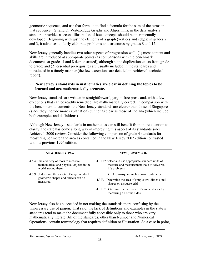geometric sequence, and use that formula to find a formula for the sum of the terms in that sequence." Strand D, Vertex-Edge Graphs and Algorithms, in the data analysis standard, provides a second illustration of how concepts should be incrementally developed. Beginning with just the elements of a graph (vertices and edges) in grades 2 and 3, it advances to fairly elaborate problems and structures by grades 8 and 12.

New Jersey generally handles two other aspects of progression well: (1) most content and skills are introduced at appropriate points (as comparisons with the benchmark documents at grades 4 and 8 demonstrated), although some duplication exists from grade to grade; and (2) essential prerequisites are usually included in the standards and introduced in a timely manner (the few exceptions are detailed in Achieve's technical report).

#### • **New Jersey's standards in mathematics are clear in defining the topics to be learned and are mathematically accurate.**

New Jersey standards are written in straightforward, jargon-free prose and, with a few exceptions that can be readily remedied, are mathematically correct. In comparison with the benchmark documents, the New Jersey standards are clearer than those of Singapore (since they include more explanation) but not as clear as those of Indiana (which include both examples and definitions).

Although New Jersey's standards in mathematics can still benefit from more attention to clarity, the state has come a long way in improving this aspect of its standards since Achieve's 2000 review. Consider the following comparison of grade 4 standards for measuring perimeter and area as contained in the New Jersey 2002 edition contrasted with its previous 1996 edition.

| <b>NEW JERSEY 1996</b>                                                                                     | <b>NEW JERSEY 2002</b>                                                                                                                                                                                             |
|------------------------------------------------------------------------------------------------------------|--------------------------------------------------------------------------------------------------------------------------------------------------------------------------------------------------------------------|
| 4.5.4. Use a variety of tools to measure<br>mathematical and physical objects in the<br>world around them. | 4.3.D.2 Select and use appropriate standard units of<br>measure and measurement tools to solve real<br>life problems                                                                                               |
| 4.7.9. Understand the variety of ways in which<br>geometric shapes and objects can be<br>measured.         | Area—square inch, square centimeter<br>٠.<br>4.3.E.1 Determine the area of simple two-dimensional<br>shapes on a square grid<br>4.3.E.2 Determine the perimeter of simple shapes by<br>measuring all of the sides. |

New Jersey also has succeeded in not making the standards more confusing by the unnecessary use of jargon. That said, the lack of definitions and examples in the state's standards tend to make the document fully accessible only to those who are very mathematically literate. All of the standards, other than Number and Numerical Operations, contain terminology that requires definition or illustration. As a case in point,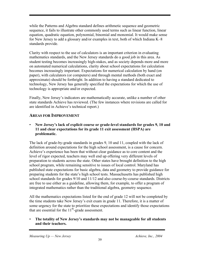while the Patterns and Algebra standard defines arithmetic sequence and geometric sequence, it fails to illustrate other commonly used terms such as linear function, linear equation, quadratic equation, polynomial, binomial and monomial. It would make sense for New Jersey to add a glossary and/or examples in text, both of which Indiana K–8 standards provide.

Clarity with respect to the use of calculators is an important criterion in evaluating mathematics standards, and the New Jersey standards do a good job in this area. As student testing becomes increasingly high-stakes, and as society depends more and more on automated numerical calculations, clarity about school expectations for calculation becomes increasingly important. Expectations for numerical calculation by hand (on paper), with calculators (or computers) and through mental methods (both exact and approximate) should be forthright. In addition to having a standard dedicated to technology, New Jersey has generally specified the expectations for which the use of technology is appropriate and/or expected.

Finally, New Jersey's indicators are mathematically accurate, unlike a number of other state standards Achieve has reviewed. (The few instances where revisions are called for are identified in Achieve's technical report.)

#### **AREAS FOR IMPROVEMENT**

• **New Jersey's lack of explicit course or grade-level standards for grades 9, 10 and 11 and clear expectations for its grade 11 exit assessment (HSPA) are problematic.**

The lack of grade-by-grade standards in grades 9, 10 and 11, coupled with the lack of definition around expectations for the high school assessment, is a cause for concern. Achieve's experience has been that without clear guidance as to core content and the level of rigor expected, teachers may well end up offering very different levels of preparation to students across the state. Other states have brought definition to the high school program, while remaining sensitive to issues of local control. Maryland has published state expectations for basic algebra, data and geometry to provide guidance for preparing students for the state's high school tests. Massachusetts has published high school standards for grades 9/10 and 11/12 and also course-by-course standards. Districts are free to use either as a guideline, allowing them, for example, to offer a program of integrated mathematics rather than the traditional algebra, geometry sequence.

All the mathematics expectations listed for the end of grade 12 will not be completed by the time students take New Jersey's exit exam in grade 11. Therefore, it is a matter of some urgency for the state to prioritize these expectations and identify those expectations that are essential for the  $11<sup>th</sup>$ -grade assessment.

• **The totality of New Jersey's standards may not be manageable for all students and their teachers.**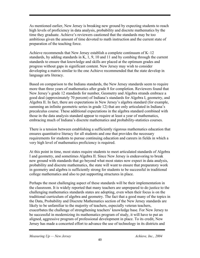As mentioned earlier, New Jersey is breaking new ground by expecting students to reach high levels of proficiency in data analysis, probability and discrete mathematics by the time they graduate. Achieve's reviewers cautioned that the standards may be too ambitious given the amount of time devoted to math instruction and the current state of preparation of the teaching force.

Achieve recommends that New Jersey establish a complete continuum of K–12 standards, by adding standards in K, 1, 9, 10 and 11 and by combing through the current standards to ensure that knowledge and skills are placed at the optimum grades and progress without gaps in significant content. New Jersey may wish to consider developing a matrix similar to the one Achieve recommended that the state develop in language arts literacy.

Based on comparison to the Indiana standards, the New Jersey standards seem to require more than three years of mathematics after grade 8 for completion. Reviewers found that New Jersey's grade 12 standards for number, Geometry and Algebra strands embrace a good deal (approximately 70 percent) of Indiana's standards for Algebra I, geometry, and Algebra II. In fact, there are expectations in New Jersey's algebra standard (for example, summing an infinite geometric series in grade 12) that are only articulated in Indiana's precalculus course. These additional expectations in the algebra standard combined with those in the data analysis standard appear to require at least a year of mathematics, embracing much of Indiana's discrete mathematics and probability-statistics courses.

There is a tension between establishing a sufficiently rigorous mathematics education that ensures quantitative literacy for all students and one that provides the necessary requirements for students to pursue continuing education and careers in fields in which a very high level of mathematics proficiency is required.

At this point in time, most states require students to meet articulated standards of Algebra I and geometry, and sometimes Algebra II. Since New Jersey is endeavoring to break new ground with standards that go beyond what most states now expect in data analysis, probability and discrete mathematics, the state will want to ensure that preparatory work in geometry and algebra is sufficiently strong for students to be successful in traditional college mathematics and also to put supporting structures in place.

Perhaps the most challenging aspect of these standards will be their implementation in the classroom. It is widely reported that many teachers are unprepared to do justice to the challenging mathematics standards states are adopting, even when their focus is on the traditional curriculum of algebra and geometry. The fact that a good many of the topics in the Data, Probability and Discrete Mathematics section of the New Jersey standards are likely to be unfamiliar to the majority of teachers, especially veteran teachers, exacerbates the challenge of strengthening teachers' knowledge base. For New Jersey to be successful in modernizing its mathematics program of study, it will have to put an aligned, aggressive program of professional development in place. To its credit, New Jersey has made a concerted effort to advance the use of technology in its districts and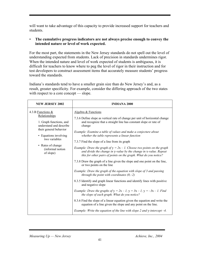will want to take advantage of this capacity to provide increased support for teachers and students.

#### • **The cumulative progress indicators are not always precise enough to convey the intended nature or level of work expected.**

For the most part, the statements in the New Jersey standards do not spell out the level of understanding expected from students. Lack of precision in standards undermines rigor. When the intended nature and level of work expected of students is ambiguous, it is difficult for teachers to know where to peg the level of rigor in their instruction and for test developers to construct assessment items that accurately measure students' progress toward the standards.

Indiana's standards tend to have a smaller grain size than do New Jersey's and, as a result, greater specificity. For example, consider the differing approach of the two states with respect to a core concept — slope.

| <b>NEW JERSEY 2002</b>                                                                                                                                                                                             | <b>INDIANA 2000</b>                                                                                                                                                                                                                                                                                                                                                                                                                                                                                                                                                                                                                                                                                                                                                                                                                                                                                                                                                                                                                                                                                                                                                                                                                                                                           |
|--------------------------------------------------------------------------------------------------------------------------------------------------------------------------------------------------------------------|-----------------------------------------------------------------------------------------------------------------------------------------------------------------------------------------------------------------------------------------------------------------------------------------------------------------------------------------------------------------------------------------------------------------------------------------------------------------------------------------------------------------------------------------------------------------------------------------------------------------------------------------------------------------------------------------------------------------------------------------------------------------------------------------------------------------------------------------------------------------------------------------------------------------------------------------------------------------------------------------------------------------------------------------------------------------------------------------------------------------------------------------------------------------------------------------------------------------------------------------------------------------------------------------------|
| 4.3.B Functions &<br>Relationships<br>1. Graph functions, and<br>understand and describe<br>their general behavior<br>• Equations involving<br>two variables<br>• Rates of change<br>(informal notion<br>of slope) | Algebra & Functions<br>7.3.6 Define slope as vertical rate of change per unit of horizontal change<br>and recognize that a straight line has constant slope or rate of<br>change<br>Example: Examine a table of values and make a conjecture about<br>whether the table represents a linear function<br>7.3.7 Find the slope of a line from its graph<br><i>Example: Draw the graph of <math>y = 2x - 1</math>. Choose two points on the graph</i><br>and divide the change in y-value by the change in x-value. Repeat<br>this for other pairs of points on the graph. What do you notice?<br>7.3.8 Draw the graph of a line given the slope and one point on the line,<br>or two points on the line<br>Example: Draw the graph of the equation with slope of 3 and passing<br>through the point with coordinates $(0,-2)$<br>8.3.5 Identify and graph linear functions and identify lines with positive<br>and negative slope<br><i>Example: Draw the graphs of y = 2x - 1, y = 3x - 1, y = -3x - 1. Find</i><br>the slope of each graph. What do you notice?<br>8.3.6 Find the slope of a linear equation given the equation and write the<br>equation of a line given the slope and any point on the line.<br>Example: Write the equation of the line with slope 2 and y-intercept $-4$ . |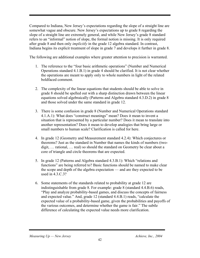Compared to Indiana, New Jersey's expectations regarding the slope of a straight line are somewhat vague and obscure. New Jersey's expectations up to grade 8 regarding the slope of a straight line are extremely general, and while New Jersey's grade 8 standard refers to an "informal" notion of slope, the formal notion is missing. It is only required after grade 8 and then only *implicitly* in the grade 12 algebra standard. In contrast, Indiana begins its explicit treatment of slope in grade 7 and develops it further in grade 8.

The following are additional examples where greater attention to precision is warranted.

- 1. The reference to the "four basic arithmetic operations" (Number and Numerical Operations standard 4.1.B.1) in grade 4 should be clarified. It is not clear whether the operations are meant to apply only to whole numbers in light of the related boldfaced comment.
- 2. The complexity of the linear equations that students should be able to solve in grade 8 should be spelled out with a sharp distinction drawn between the linear equations solved algebraically (Patterns and Algebra standard 4.3.D.2) in grade 8 and those solved under the same standard in grade 12.
- 3. There is some confusion in grade 8 (Number and Numerical Operations standard 4.1.A.1): What does "construct meanings" mean? Does it mean to invent a situation that is represented by a particular number? Does it mean to translate into another representation? Does it mean to develop analogies that bring large or small numbers to human scale? Clarification is called for here.
- 4. In grade 12 (Geometry and Measurement standard 4.2.4): Which conjectures or theorems? Just as the standard in Number that names the kinds of numbers (twodigit, … rational, … real) so should the standard on Geometry be clear about a core of triangle and circle theorems that are expected.
- 5. In grade 12 (Patterns and Algebra standard 4.3.B.1): Which "relations and functions" are being referred to? Basic functions should be named to make clear the scope and depth of the algebra expectation — and are they expected to be used in 4.3.C.3?
- 6. Some statements of the standards related to probability at grade 12 are indistinguishable from grade 8. For example: grade 8 (standard 4.4.B.6) reads, "Play and analyze probability-based games, and discuss the concepts of fairness and expected value." And, grade 12 (standard 4.4.B.1) reads, "calculate the expected value of a probability-based game, given the probabilities and payoffs of the various outcomes, and determine whether the game is fair." The subtle difference of calculating the expected value needs more clarification.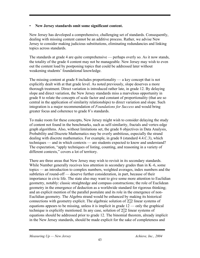#### • **New Jersey standards omit some significant content.**

New Jersey has developed a comprehensive, challenging set of standards. Consequently, dealing with missing content cannot be an additive process. Rather, we advise New Jersey to consider making judicious substitutions, eliminating redundancies and linking topics across standards.

The standards at grade 4 are quite comprehensive — perhaps overly so. As it now stands, the totality of the grade 4 content may not be manageable. New Jersey may wish to even out the content load by postponing topics that could be addressed later without weakening students' foundational knowledge.

The missing content at grade 8 includes proportionality — a key concept that is not explicitly dealt with at that grade level. As noted previously, slope deserves a more thorough treatment. Direct variation is introduced rather late, in grade 12. By delaying slope and direct variation, the New Jersey standards miss a marvelous opportunity in grade 8 to relate the concepts of scale factor and constant of proportionality (that are so central in the application of similarity relationships) to direct variation and slope. Such integration is a major recommendation of *Foundations for Success* and would bring greater focus and coherence to grade 8's standards.

To make room for these concepts, New Jersey might wish to consider delaying the study of content not found in the benchmarks, such as self-similarity, fractals and vertex-edge graph algorithms. Also, without limitations set, the grade 8 objectives in Data Analysis, Probability and Discrete Mathematics may be overly ambitious, especially the strand dealing with discrete mathematics. For example, in grade 8 (standard 4.4.C.3), which techniques — and in which contexts — are students expected to know and understand? The expectation, "apply techniques of listing, counting, and reasoning in a variety of different contexts," covers a lot of territory.

There are three areas that New Jersey may wish to revisit in its secondary standards. While Number generally receives less attention in secondary grades than in K–6, some topics — an introduction to complex numbers, weighted averages, index numbers and the subtleties of round-off — deserve further consideration, in part, because of their importance in civic life. The state also may want to give some more attention to Euclidian geometry, notably: classic straightedge and compass constructions; the role of Euclidean geometry in the emergence of deduction as a worldwide standard for rigorous thinking; and an explicit mention of the parallel postulate and its role in the emergence of non-Euclidian geometry. The Algebra strand would be enhanced by making its historical connections with geometry explicit. The algebraic solution of  $2\times 2$  linear systems of equations appears to be missing, unless it is implicit in grade 12 — only the graphical technique is explicitly mentioned. In any case, solution of  $2\times 2$  linear systems of equations should be addressed prior to grade 12. The binomial theorem, already implicit in the New Jersey standards, should be made explicit for the sake of completeness and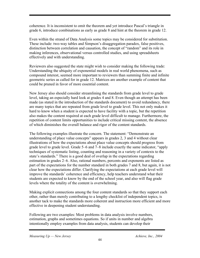coherence. It is inconsistent to omit the theorem and yet introduce Pascal's triangle in grade 6, introduce combinations as early as grade 8 and hint at the theorem in grade 12.

Even within the strand of Data Analysis some topics may be considered for substitution. These include: two-way tables and Simpson's disaggregation paradox, false positives, distinction between correlation and causation, the concept of "random" and its role in making inferences, observational versus controlled studies, and using spreadsheets effectively and with understanding.

Reviewers also suggested the state might wish to consider making the following trade: Understanding the ubiquity of exponential models in real world phenomena, such as compound interest, seemed more important to reviewers than summing finite and infinite geometric series as called for in grade 12. Matrices are another example of content that could be pruned in favor of more essential content.

New Jersey also should consider streamlining the standards from grade level to grade level, taking an especially hard look at grades 4 and 8. Even though an attempt has been made (as stated in the introduction of the standards document) to avoid redundancy, there are many topics that are repeated from grade level to grade level. This not only makes it hard to know when a student is expected to have facility with a topic, but the repetition also makes the content required at each grade level difficult to manage. Furthermore, the repetition of content limits opportunities to include critical missing content, the absence of which diminishes the overall balance and rigor of the content standards.

The following examples illustrate the concern. The statement: "Demonstrate an understanding of place value concepts" appears in grades 2, 3 and 4 without clear illustrations of how the expectations about place value concepts should progress from grade level to grade level. Grade 5–6 and 7–8 include exactly the same indicator, "apply techniques of systematic listing, counting and reasoning in a variety of contexts to the state's standards." There is a good deal of overlap in the expectations regarding estimation in grades 2–6. Also, rational numbers, percents and exponents are listed as part of the expectations for the number standard in both grades 7 and 8, but again, it is not clear how the expectations differ. Clarifying the expectations at each grade level will improve the standards' coherence and efficiency, help teachers understand what their students are expected to know by the end of the school year, and also will flag grade levels where the totality of the content is overwhelming.

Making explicit connections among the four content standards so that they support each other, rather than merely contributing to a lengthy checklist of independent topics, is another tack to make the standards more coherent and instruction more efficient and more effective in deepening student understanding.

Following are two examples: Most problems in data analysis involve numbers, estimation, graphs and sometimes equations. So if units in number and algebra intentionally employ examples from data analysis, students can develop their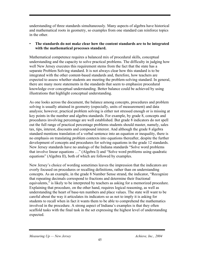understanding of three standards simultaneously. Many aspects of algebra have historical and mathematical roots in geometry, so examples from one standard can reinforce topics in the other.

#### • **The standards do not make clear how the content standards are to be integrated with the mathematical processes standard.**

Mathematical competence requires a balanced mix of procedural skills, conceptual understanding and the capacity to solve practical problems. The difficulty in judging how well New Jersey executes this requirement stems from the fact that the state has a separate Problem Solving standard. It is not always clear how this standard is to be integrated with the other content-based standards and, therefore, how teachers are expected to assess whether students are meeting the problem-solving standard. In general, there are many more statements in the standards that seem to emphasize procedural knowledge over conceptual understanding. Better balance could be achieved by using illustrations that highlight conceptual understanding.

As one looks across the document, the balance among concepts, procedures and problem solving is usually attained in geometry (especially, units of measurement) and data analysis; however, practical problem solving is either not stressed enough or is missing at key points in the number and algebra standards. For example, by grade 8, concepts and procedures involving percentage are well established. But grade 8 indicators do not spell out the full range of practical percentage problems students should master, namely, sales tax, tips, interest, discounts and compound interest. And although the grade 8 algebra standard mentions translation of a verbal sentence into an equation or inequality, there is no emphasis on translating problem contexts into equations thereafter, despite the further development of concepts and procedures for solving equations in the grade 12 standards. New Jersey standards have no analogs of the Indiana standards "Solve word problems that involve linear equations …" (Algebra I) and "Solve word problems using quadratic equations" (Algebra II), both of which are followed by examples.

New Jersey's choice of wording sometimes leaves the impression that the indicators are overly focused on procedures or recalling definitions, rather than on understanding concepts. As an example, in the grade 8 Number Sense strand, the indicator, "Recognize that repeating decimals correspond to fractions and determine their fractional equivalents," is likely to be interpreted by teachers as asking for a memorized procedure. Explaining that procedure, on the other hand, requires logical reasoning, as well as understanding the heart of base-ten numbers and place values. The state will want to be careful about the way it articulates its indicators so as not to imply it is asking for students to recall when in fact it wants them to be able to comprehend the mathematics involved in the procedure. A strong aspect of Indiana's examples is that they often scaffold tasks with the final task in the set expressing the highest level of understanding expected.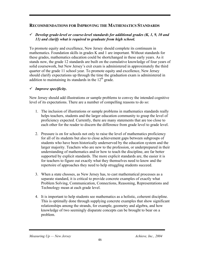#### **RECOMMENDATIONS FOR IMPROVING THE MATHEMATICS STANDARDS**

#### $\checkmark$  Develop grade-level or course-level standards for additional grades (K, 1, 9, 10 and *11) and clarify what is required to graduate from high school.*

To promote equity and excellence, New Jersey should complete its continuum in mathematics. Foundation skills in grades K and 1 are important. Without standards for these grades, mathematics education could be shortchanged in these early years. As it stands now, the grade 12 standards are built on the cumulative knowledge of four years of solid coursework, but New Jersey's exit exam is administered in approximately the third quarter of the grade 11 school year. To promote equity and excellence, New Jersey should clarify expectations up through the time the graduation exam is administered in addition to maintaining its standards in the  $12<sup>th</sup>$  grade.

#### ¸ *Improve specificity.*

New Jersey should add illustrations or sample problems to convey the intended cognitive level of its expectations. There are a number of compelling reasons to do so:

- 1. The inclusion of illustrations or sample problems in mathematics standards really helps teachers, students and the larger education community to grasp the level of proficiency expected. Currently, there are many statements that are too close to each other for the reader to discern the difference from grade level to grade level.
- 2. Pressure is on for schools not only to raise the level of mathematics proficiency for all of its students but also to close achievement gaps between subgroups of students who have been historically underserved by the education system and the larger majority. Teachers who are new to the profession, or underprepared in their understanding of mathematics and/or how to teach the discipline, are far better supported by explicit standards. The more explicit standards are, the easier it is for teachers to figure out exactly what they themselves need to know and the repertoire of approaches they need to help struggling students succeed.
- 3. When a state chooses, as New Jersey has, to cast mathematical processes as a separate standard, it is critical to provide concrete examples of exactly what Problem Solving, Communication, Connections, Reasoning, Representations and Technology mean at each grade level.
- 4. It is important to help students see mathematics as a holistic, coherent discipline. This is optimally done through supplying concrete examples that show significant relationships among the strands, for example, geometry and algebra, and how knowledge of two seemingly disparate concepts can be brought to bear on a problem.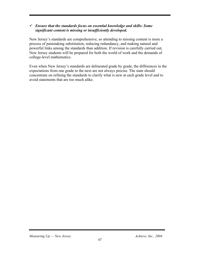#### ¸ *Ensure that the standards focus on essential knowledge and skills: Some significant content is missing or insufficiently developed.*

New Jersey's standards are comprehensive, so attending to missing content is more a process of painstaking substitution, reducing redundancy, and making natural and powerful links among the standards than addition. If revision is carefully carried out, New Jersey students will be prepared for both the world of work and the demands of college-level mathematics.

Even when New Jersey's standards are delineated grade by grade, the differences in the expectations from one grade to the next are not always precise. The state should concentrate on refining the standards to clarify what is new at each grade level and to avoid statements that are too much alike.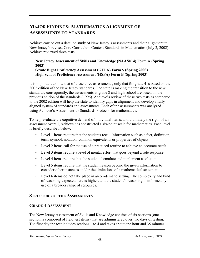## **MAJOR FINDINGS: MATHEMATICS ALIGNMENT OF ASSESSMENTS TO STANDARDS**

Achieve carried out a detailed study of New Jersey's assessments and their alignment to New Jersey's revised Core Curriculum Content Standards in Mathematics (July 2, 2002). Achieve reviewed three tests:

#### **New Jersey Assessment of Skills and Knowledge (NJ ASK 4) Form A (Spring 2003) Grade Eight Proficiency Assessment (GEPA) Form S (Spring 2003) High School Proficiency Assessment (HSPA) Form B (Spring 2003)**

It is important to note that of these three assessments, only that for grade 4 is based on the 2002 edition of the New Jersey standards. The state is making the transition to the new standards; consequently, the assessments at grade 8 and high school are based on the previous edition of the standards (1996). Achieve's review of these two tests as compared to the 2002 edition will help the state to identify gaps in alignment and develop a fully aligned system of standards and assessments. Each of the assessments was analyzed using Achieve's Assessment-to-Standards Protocol for mathematics.

To help evaluate the cognitive demand of individual items, and ultimately the rigor of an assessment overall, Achieve has constructed a six-point scale for mathematics. Each level is briefly described below.

- Level 1 items require that the students recall information such as a fact, definition, term, symbol, notation, common equivalents or properties of objects.
- Level 2 items call for the use of a practiced routine to achieve an accurate result.
- Level 3 items require a level of mental effort that goes beyond a rote response.
- Level 4 items require that the student formulate and implement a solution.
- Level 5 items require that the student reason beyond the given information to consider other instances and/or the limitations of a mathematical statement.
- Level 6 items do not take place in an on-demand setting. The complexity and kind of reasoning expected here is higher, and the student's reasoning is informed by use of a broader range of resources.

#### **STRUCTURE OF THE ASSESSMENTS**

#### **GRADE 4 ASSESSMENT**

The New Jersey Assessment of Skills and Knowledge consists of six sections (one section is composed of field test items) that are administered over two days of testing. The first day the test includes sections 1 to 4 and takes about one hour and 35 minutes.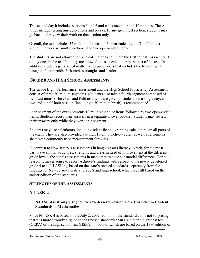The second day it includes sections 5 and 6 and takes one hour and 10 minutes. These times include testing time, directions and breaks. In any given test section, students may go back and review their work on that section only.

Overall, the test includes 32 multiple-choice and 6 open-ended items. The field-test section includes six multiple-choice and two open-ended items.

The students are not allowed to use a calculator to complete the first four items (section 1 of day one) in the test, but they are allowed to use a calculator in the rest of the test. In addition, students get a set of mathematics punch-outs that includes the following: 1 hexagon, 2 trapezoids, 3 rhombi, 6 triangles and 1 ruler.

#### **GRADE 8 AND HIGH SCHOOL ASSESSMENTS**

The Grade Eight Performance Assessment and the High School Proficiency Assessment consist of three 30-minute segments. (Students also take a fourth segment composed of field test items.) The exam and field test items are given to students on a single day; a two-and-a-half-hour session (including a 30-minute break) is recommended.

Each segment of the exam presents 10 multiple-choice items followed by two open-ended items. Students record their answers in a separate answer booklet. Students may review their answers only while they work on a segment.

Students may use calculators, including scientific and graphing calculators, on all parts of the exam. They are also provided a 6-inch/15-cm punch-out ruler, as well as a formula sheet with commonly used measurement formulas.

In contrast to New Jersey's assessments in language arts literacy, which, for the most part, have similar structures, strengths and areas in need of improvement at the different grade levels, the state's assessments in mathematics have substantial differences. For this reason, it makes sense to report Achieve's findings with respect to the newly developed grade 4 test (NJ ASK 4), based on the state's revised standards, separately from the findings for New Jersey's tests at grade 8 and high school, which are still based on the earlier edition of the standards.

#### **STRENGTHS OF THE ASSESSMENTS**

## **NJ ASK 4**

#### • **NJ ASK 4 is strongly aligned to New Jersey's revised Core Curriculum Content Standards in Mathematics.**

Since NJ ASK 4 is based on the July 2, 2002, edition of the standards, it is not surprising that it is more strongly aligned to the revised standards than are either the grade 8 test (GEPA) or the high school test (HSPA) — both of which are based on the 1996 edition of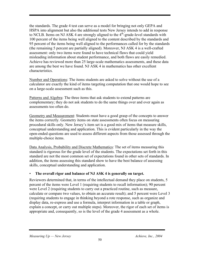the standards. The grade 4 test can serve as a model for bringing not only GEPA and HSPA into alignment but also the additional tests New Jersey intends to add in response to NCLB. Items on NJ ASK 4 are strongly aligned to the  $4<sup>th</sup>$ -grade-level standards with 100 percent of the items being well aligned to the content described by the standards and 95 percent of the items being well aligned to the performances called for by the standards (the remaining 5 percent are partially aligned). Moreover, NJ ASK 4 is a well-crafted assessment: only two items were found to have technical flaws that could yield misleading information about student performance, and both flaws are easily remedied. Achieve has reviewed more than 25 large-scale mathematics assessments, and these data are among the best we have found. NJ ASK 4 in mathematics has other excellent characteristics.

Number and Operations: The items students are asked to solve without the use of a calculator are exactly the kind of items targeting computation that one would hope to see on a large-scale assessment such as this.

Patterns and Algebra: The three items that ask students to extend patterns are complementary; they do not ask students to do the same things over and over again as assessments too often do.

Geometry and Measurement: Students must have a good grasp of the concepts to answer the items correctly. Geometry items on state assessments often focus on measuring procedural skills only. New Jersey's item set is a good mix of items that measure skills, conceptual understanding and application. This is evident particularly in the way the open-ended questions are used to assess different aspects from those assessed through the multiple-choice items.

Data Analysis, Probability and Discrete Mathematics: The set of items measuring this standard is rigorous for the grade level of the students. The expectations set forth in this standard are not the most common set of expectations found in other sets of standards. In addition, the items assessing this standard show to have the best balance of assessing skills, conceptual understanding and application.

#### • **The overall rigor and balance of NJ ASK 4 is generally on target.**

Reviewers determined that, in terms of the intellectual demand they place on students, 5 percent of the items were Level 1 (requiring students to recall information); 90 percent were Level 2 (requiring students to carry out a practiced routine, such as measure, calculate or compare two values, to obtain an accurate result); and 5 percent were Level 3 (requiring students to engage in thinking beyond a rote response, such as organize and display data, re-express and use a formula, interpret information in a table or graph, explain a concept, or carry out multiple steps). Moreover, the rigor of each set of items is appropriate and, consequently, so is the level of the grade 4 assessment as a whole.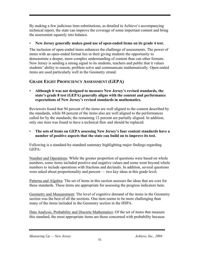By making a few judicious item substitutions, as detailed in Achieve's accompanying technical report, the state can improve the coverage of some important content and bring the assessment squarely into balance.

#### • **New Jersey generally makes good use of open-ended items on its grade 4 test.**

The inclusion of open-ended items enhances the challenge of assessments. The power of items with an open-ended format lies in their giving students the opportunity to demonstrate a deeper, more complex understanding of content than can other formats. New Jersey is sending a strong signal to its students, teachers and public that it values students' ability to reason, problem solve and communicate mathematically. Open-ended items are used particularly well in the Geometry strand.

#### **GRADE EIGHT PROFICIENCY ASSESSMENT (GEPA)**

• **Although it was not designed to measure New Jersey's revised standards, the state's grade 8 test (GEPA) generally aligns with the content and performance expectations of New Jersey's revised standards in mathematics.**

Reviewers found that 94 percent of the items are well aligned to the content described by the standards, while 88 percent of the items also are well aligned to the performances called for by the standards; the remaining 12 percent are partially aligned. In addition, only one item was found to have a technical flaw and should be replaced.

• **The sets of items on GEPA assessing New Jersey's four content standards have a number of positive aspects that the state can build on to improve its test.**

Following is a standard-by-standard summary highlighting major findings regarding GEPA:

Number and Operations: While the greater proportion of questions were based on whole numbers, some items included positive and negative values and some went beyond whole numbers to include operations with fractions and decimals. In addition, several questions were asked about proportionality and percent — two key ideas at this grade level.

Patterns and Algebra: The set of items in this section assesses the ideas that are core for these standards. These items are appropriate for assessing the progress indicators here.

Geometry and Measurement: The level of cognitive demand of the items in the Geometry section was the best of all the sections. One item seems to be more challenging than many of the items included in the Geometry section in the HSPA.

Data Analysis, Probability and Discrete Mathematics: Of the set of items that measure this standard, the most appropriate items are those concerned with probability because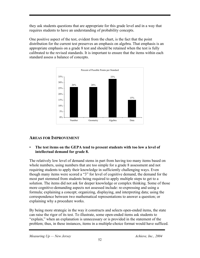they ask students questions that are appropriate for this grade level and in a way that requires students to have an understanding of probability concepts.

One positive aspect of the test, evident from the chart, is the fact that the point distribution for the current test preserves an emphasis on algebra. That emphasis is an appropriate emphasis on a grade 8 test and should be retained when the test is fully calibrated to the revised standards. It is important to ensure that the items within each standard assess a balance of concepts.



#### **AREAS FOR IMPROVEMENT**

#### • **The test items on the GEPA tend to present students with too low a level of intellectual demand for grade 8.**

The relatively low level of demand stems in part from having too many items based on whole numbers, using numbers that are too simple for a grade 8 assessment and not requiring students to apply their knowledge in sufficiently challenging ways. Even though many items were scored a "3" for level of cognitive demand, the demand for the most part stemmed from students being required to apply multiple steps to get to a solution. The items did not ask for deeper knowledge or complex thinking. Some of those more cognitive-demanding aspects not assessed include: re-expressing and using a formula; explaining a concept; organizing, displaying, and interpreting data; using the correspondence between two mathematical representations to answer a question; or explaining why a procedure works.

By being more strategic in the way it constructs and selects open-ended items, the state can raise the rigor of its test. To illustrate, some open-ended items ask students to "explain," when an explanation is unnecessary or is provided in the statement of the problem; thus, in these instances, items in a multiple-choice format would have sufficed.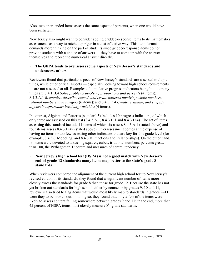Also, two open-ended items assess the same aspect of percents, when one would have been sufficient.

New Jersey also might want to consider adding gridded-response items to its mathematics assessments as a way to ratchet up rigor in a cost-effective way. This item format demands more thinking on the part of students since gridded-response items do not provide students with a choice of answers — they have to come up with the answer themselves and record the numerical answer directly.

#### • **The GEPA tends to overassess some aspects of New Jersey's standards and underassess others.**

Reviewers found that particular aspects of New Jersey's standards are assessed multiple times, while other critical aspects — especially looking toward high school requirements — are not assessed at all. Examples of cumulative progress indicators being hit too many times are 8.4.1.B.4 *Solve problems involving proportions and percents* (4 items); 8.4.3.A.1 *Recognize, describe, extend, and create patterns involving whole numbers, rational numbers, and integers* (6 items); and 8.4.3.D.4 *Create, evaluate, and simplify algebraic expressions involving variables* (4 items).

In contrast, Algebra and Patterns (standard 3) includes 10 progress indicators, of which only three are assessed on this test (8.4.3.A.1, 8.4.3.B.1 and 8.4.3.D.4). The set of items assessing this standard include 11 items of which six assess 8.4.3.A.1 (stated above) and four items assess 8.4.3.D.49 (stated above). Overassessment comes at the expense of having no items or too few assessing other indicators that are key for this grade level (for example, 8.4.3.C Modeling, and 8.4.3.B Functions and Relationships). On the other hand**,** no items were devoted to assessing squares, cubes, irrational numbers, percents greater than 100, the Pythagorean Theorem and measures of central tendency.

#### • **New Jersey's high school test (HSPA) is not a good match with New Jersey's end-of-grade-12 standards; many items map better to the state's grade 8 standards.**

When reviewers compared the alignment of the current high school test to New Jersey's revised edition of its standards, they found that a significant number of items more closely assess the standards for grade 8 than those for grade 12. Because the state has not yet broken out standards for high school either by course or by grades 9, 10 and 11, reviewers also tried to flag items that would most likely map to standards in grades 9–11 were they to be broken out. In doing so, they found that only a few of the items were likely to assess content falling somewhere between grades 9 and 11; in the end, more than 45 percent of HSPA items most closely measure 8<sup>th</sup>-grade standards.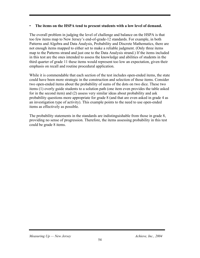#### • **The items on the HSPA tend to present students with a low level of demand.**

The overall problem in judging the level of challenge and balance on the HSPA is that too few items map to New Jersey's end-of-grade-12 standards. For example, in both Patterns and Algebra and Data Analysis, Probability and Discrete Mathematics, there are not enough items mapped to either set to make a reliable judgment. (Only three items map to the Patterns strand and just one to the Data Analysis strand.) If the items included in this test are the ones intended to assess the knowledge and abilities of students in the third quarter of grade 11 these items would represent too low an expectation, given their emphasis on recall and routine procedural application.

While it is commendable that each section of the test includes open-ended items, the state could have been more strategic in the construction and selection of those items. Consider two open-ended items about the probability of sums of the dots on two dice. These two items (1) overly guide students to a solution path (one item even provides the table asked for in the second item) and (2) assess very similar ideas about probability and ask probability questions more appropriate for grade 8 (and that are even asked in grade 4 as an investigation type of activity). This example points to the need to use open-ended items as effectively as possible.

The probability statements in the standards are indistinguishable from those in grade 8, providing no sense of progression. Therefore, the items assessing probability in this test could be grade 8 items.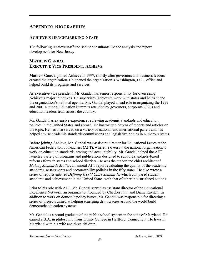## **APPENDIX: BIOGRAPHIES**

#### **ACHIEVE'S BENCHMARKING STAFF**

The following Achieve staff and senior consultants led the analysis and report development for New Jersey.

#### **MATHEW GANDAL EXECUTIVE VICE PRESIDENT, ACHIEVE**

**Mathew Gandal** joined Achieve in 1997, shortly after governors and business leaders created the organization. He opened the organization's Washington, D.C., office and helped build its programs and services.

As executive vice president, Mr. Gandal has senior responsibility for overseeing Achieve's major initiatives. He supervises Achieve's work with states and helps shape the organization's national agenda. Mr. Gandal played a lead role in organizing the 1999 and 2001 National Education Summits attended by governors, corporate CEOs and education leaders from across the country.

Mr. Gandal has extensive experience reviewing academic standards and education policies in the United States and abroad. He has written dozens of reports and articles on the topic. He has also served on a variety of national and international panels and has helped advise academic standards commissions and legislative bodies in numerous states.

Before joining Achieve, Mr. Gandal was assistant director for Educational Issues at the American Federation of Teachers (AFT), where he oversaw the national organization's work on education standards, testing and accountability. Mr. Gandal helped the AFT launch a variety of programs and publications designed to support standards-based reform efforts in states and school districts. He was the author and chief architect of *Making Standards Matter*, an annual AFT report evaluating the quality of the academic standards, assessments and accountability policies in the fifty states. He also wrote a series of reports entitled *Defining World Class Standards*, which compared student standards and achievement in the United States with that of other industrialized nations.

Prior to his role with AFT, Mr. Gandal served as assistant director of the Educational Excellence Network, an organization founded by Checker Finn and Diane Ravitch. In addition to work on domestic policy issues, Mr. Gandal was responsible for directing a series of projects aimed at helping emerging democracies around the world build democratic education systems.

Mr. Gandal is a proud graduate of the public school system in the state of Maryland. He earned a B.A. in philosophy from Trinity College in Hartford, Connecticut. He lives in Maryland with his wife and three children.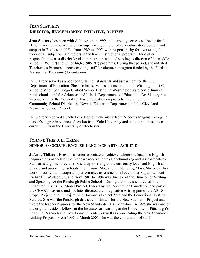#### **JEAN SLATTERY DIRECTOR, BENCHMARKING INITIATIVE, ACHIEVE**

**Jean Slattery** has been with Achieve since 1999 and currently serves as director for the Benchmarking Initiative. She was supervising director of curriculum development and support in Rochester, N.Y., from 1989 to 1997, with responsibility for overseeing the work of all subject-area directors in the K–12 instructional program. Her earlier responsibilities as a district-level administrator included serving as director of the middle school (1987–89) and junior high (1985–87) programs. During that period, she initiated Teachers as Partners, a peer-coaching staff development program funded by the Ford and Matsushita (Panasonic) Foundations.

Dr. Slattery served as a peer consultant on standards and assessment for the U.S. Department of Education. She also has served as a consultant to the Washington, D.C., school district; San Diego Unified School District; a Washington state consortium of rural schools; and the Arkansas and Illinois Departments of Education. Dr. Slattery has also worked for the Council for Basic Education on projects involving the Flint Community School District, the Nevada Education Department and the Cleveland Municipal School District.

Dr. Slattery received a bachelor's degree in chemistry from Albertus Magnus College, a master's degree in science education from Yale University and a doctorate in science curriculum from the University of Rochester.

#### **JOANNE THIBAULT ERESH SENIOR ASSOCIATE, ENGLISH LANGUAGE ARTS, ACHIEVE**

**JoAnne Thibault Eresh** is a senior associate at Achieve, where she leads the English language arts aspects of the Standards-to-Standards Benchmarking and Assessment-to-Standards alignment reviews. She taught writing at the university level and English at private and public high schools in St. Louis, Mo., and in Fitchburg, Mass. She began her work in curriculum design and performance assessment in 1979 under Superintendent Richard C. Wallace, Jr., and from 1981 to 1994 was director of the Division of Writing and Speaking for the Pittsburgh Public Schools. During that time she directed The Pittsburgh Discussion Model Project, funded by the Rockefeller Foundation and part of the CHART network, and she later directed the imaginative writing part of the ARTS Propel Project, a joint project with Harvard's Project Zero and the Educational Testing Service. She was the Pittsburgh district coordinator for the New Standards Project and wrote the teachers' guides for the New Standards ELA Portfolios. In 1995 she was one of the original resident fellows at the Institute for Learning at the University of Pittsburgh's Learning Research and Development Center, as well as coordinating the New Standards Linking Projects. From 1997 to March 2001, she was the coordinator of staff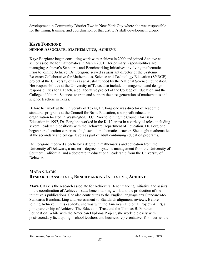development in Community District Two in New York City where she was responsible for the hiring, training, and coordination of that district's staff development group.

#### **KAYE FORGIONE SENIOR ASSOCIATE, MATHEMATICS, ACHIEVE**

**Kaye Forgione** began consulting work with Achieve in 2000 and joined Achieve as senior associate for mathematics in March 2001. Her primary responsibilities are managing Achieve's Standards and Benchmarking Initiatives involving mathematics. Prior to joining Achieve, Dr. Forgione served as assistant director of the Systemic Research Collaborative for Mathematics, Science and Technology Education (SYRCE) project at the University of Texas at Austin funded by the National Science Foundation. Her responsibilities at the University of Texas also included management and design responsibilities for UTeach, a collaborative project of the College of Education and the College of Natural Sciences to train and support the next generation of mathematics and science teachers in Texas.

Before her work at the University of Texas, Dr. Forgione was director of academic standards programs at the Council for Basic Education, a nonprofit education organization located in Washington, D.C. Prior to joining the Council for Basic Education in 1997, Dr. Forgione worked in the K–12 arena in a variety of roles, including several leadership positions with the Delaware Department of Education. Dr. Forgione began her education career as a high school mathematics teacher. She taught mathematics at the secondary and college levels as part of adult continuing education programs.

Dr. Forgione received a bachelor's degree in mathematics and education from the University of Delaware, a master's degree in systems management from the University of Southern California, and a doctorate in educational leadership from the University of Delaware.

#### **MARA CLARK RESEARCH ASSOCIATE, BENCHMARKING INITIATIVE, ACHIEVE**

**Mara Clark** is the research associate for Achieve's Benchmarking Initiative and assists in the coordination of Achieve's state benchmarking work and the production of the initiative's publications. She also contributes to the English language arts Standards-to-Standards Benchmarking and Assessment-to-Standards alignment reviews. Before joining Achieve in this capacity, she was with the American Diploma Project (ADP), a joint partnership of Achieve, The Education Trust and the Thomas B. Fordham Foundation. While with the American Diploma Project, she worked closely with postsecondary faculty, high school teachers and business representatives from across the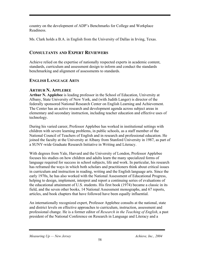country on the development of ADP's Benchmarks for College and Workplace Readiness.

Ms. Clark holds a B.A. in English from the University of Dallas in Irving, Texas.

### **CONSULTANTS AND EXPERT REVIEWERS**

Achieve relied on the expertise of nationally respected experts in academic content, standards, curriculum and assessment design to inform and conduct the standards benchmarking and alignment of assessments to standards.

#### **ENGLISH LANGUAGE ARTS**

#### **ARTHUR N. APPLEBEE**

**Arthur N. Applebee** is leading professor in the School of Education, University at Albany, State University of New York, and (with Judith Langer) is director of the federally sponsored National Research Center on English Learning and Achievement. The Center has an active research and development agenda across subject areas in elementary and secondary instruction, including teacher education and effective uses of technology.

During his varied career, Professor Applebee has worked in institutional settings with children with severe learning problems, in public schools, as a staff member of the National Council of Teachers of English and in research and professional education. He joined the faculty at the University at Albany from Stanford University in 1987, as part of a SUNY-wide Graduate Research Initiative in Writing and Literacy.

With degrees from Yale, Harvard and the University of London, Professor Applebee focuses his studies on how children and adults learn the many specialized forms of language required for success in school subjects, life and work. In particular, his research has reframed the ways in which both scholars and practitioners think about critical issues in curriculum and instruction in reading, writing and the English language arts. Since the early 1970s, he has also worked with the National Assessment of Educational Progress, helping to design, implement, interpret and report a continuing series of evaluations of the educational attainment of U.S. students. His first book (1974) became a classic in its field, and the seven other books, 14 National Assessment monographs, and 67 reports, articles, and book chapters that have followed have been equally influential.

An internationally recognized expert, Professor Applebee consults at the national, state and district levels on effective approaches to curriculum, instruction, assessment and professional change. He is a former editor of *Research in the Teaching of English*, a past president of the National Conference on Research in Language and Literacy and a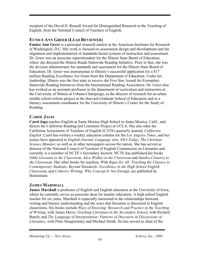recipient of the David H. Russell Award for Distinguished Research in the Teaching of English, from the National Council of Teachers of English.

#### **EUNICE ANN GREER (LEAD REVIEWER)**

**Eunice Ann Greer** is a principal research analyst at the American Institutes for Research in Washington, D.C. Her work is focused on assessment design and development and the alignment and implementation of standards-based systems of instruction and assessment. Dr. Greer was an associate superintendent for the Illinois State Board of Education, where she directed the Illinois Reads Statewide Reading Initiative. Prior to that, she was the division administrator for standards and assessment for the Illinois State Board of Education. Dr. Greer was instrumental in Illinois's successful application for a \$37 million Reading Excellence Act Grant from the Department of Education. Under her leadership, Illinois was the first state to receive the Five Star Award for Exemplary Statewide Reading Initiatives from the International Reading Association. Dr. Greer also has worked as an assistant professor in the department of curriculum and instruction at the University of Illinois at Urbana-Champaign, as the director of research for an urban middle school reform project at the Harvard Graduate School of Education and as a literacy assessment coordinator for the University of Illinois's Center for the Study of Reading.

## **CAROL JAGO**

**Carol Jago** teaches English at Santa Monica High School in Santa Monica, Calif., and directs the California Reading and Literature Project at UCLA. She also edits the California Association of Teachers of English (CATE) quarterly journal, *California English*. Carol has written a weekly education column for the *Los Angeles Times*, and her essays have appeared in *English Journal*, *Language Arts*, *NEA Today*, *The Christian Science Monitor*, as well as in other newspapers across the nation. She has served as director of the National Council of Teachers of English Commission on Literature and currently is a member of NCTE's Secondary Section. NCTE has published her books *Nikki Giovanni in the Classroom*, *Alice Walker in the Classroom* and *Sandra Cisneros in the Classroom*. Her other books for teachers, *With Rigor for All: Teaching the Classics to Contemporary Students*, *Beyond Standards: Excellence in the High School English Classroom*, and *Cohesive Writing: Why Concept Is Not Enough*, are published by Heinemann.

## **JAMES MARSHALL**

**James Marshall** is professor of English and English education at the University of Iowa, where he currently serves as associate dean for teacher education. A high school English teacher for six years, Marshall is especially interested in the relationships between writing and literary understanding and the ways that literature is discussed in English classrooms. His books include *Ways of Knowing: Research and Practice in the Teaching of Writing*, with James Davis; *Teaching Literature in the Secondary School*, with Richard Beach; and *The Language of Interpretation: Patterns of Discourse in Discussions of Literature*, with Peter Smagorinsky and Michael Smith. He has served as chair of the

*Measuring Up — New Jersey Achieve, Inc., 2004*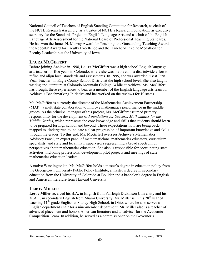National Council of Teachers of English Standing Committee for Research, as chair of the NCTE Research Assembly, as a trustee of NCTE's Research Foundation, as executive secretary for the Standards Project in English Language Arts and as chair of the English Language Arts Assessment for the National Board of Professional Teaching Standards. He has won the James N. Murray Award for Teaching, the Outstanding Teaching Award, the Regents' Award for Faculty Excellence and the Hancher-Finkbine Medallion for Faculty Leadership at the University of Iowa.

#### **LAURA MCGIFFERT**

Before joining Achieve in 1998, **Laura McGiffert** was a high school English language arts teacher for five years in Colorado, where she was involved in a districtwide effort to refine and align local standards and assessments. In 1995, she was awarded "Best First Year Teacher" in Eagle County School District at the high school level. She also taught writing and literature at Colorado Mountain College. While at Achieve, Ms. McGiffert has brought these experiences to bear as a member of the English language arts team for Achieve's Benchmarking Initiative and has worked on the reviews for 10 states.

Ms. McGiffert is currently the director of the Mathematics Achievement Partnership (MAP), a multistate collaboration to improve mathematics performance in the middle grades. As the principal manager of this project, Ms. McGiffert assumed primary responsibility for the development of *Foundations for Success: Mathematics for the Middle Grades*, which represents the core knowledge and skills that students should learn to be prepared for high school and beyond. These expectations now are being backmapped to kindergarten to indicate a clear progression of important knowledge and skills through the grades. To this end, Ms. McGiffert oversees Achieve's Mathematics Advisory Panel, an expert panel of mathematicians, mathematics educators, curriculum specialists, and state and local math supervisors representing a broad spectrum of perspectives about mathematics education. She also is responsible for coordinating state activities, including professional development pilot projects and meetings of state mathematics education leaders.

A native Washingtonian, Ms. McGiffert holds a master's degree in education policy from the Georgetown University Public Policy Institute, a master's degree in secondary education from the University of Colorado at Boulder and a bachelor's degree in English and American literature from Harvard University.

#### **LEROY MILLER**

**Leroy Miller** received his B.A. in English from Fairleigh Dickinson University and his M.A.T. in secondary English from Miami University. Mr. Miller is in his  $28<sup>th</sup>$  year of teaching  $11<sup>th</sup>$ -grade English at Sidney High School, in Ohio, where he also serves as English department chair for a nine-member department. Mr. Miller also is a teacher of advanced placement and honors American literature and an adviser for the Academic Competition Team. In addition, he served as a commissioner on the Governor's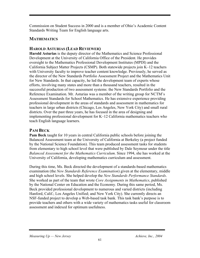Commission on Student Success in 2000 and is a member of Ohio's Academic Content Standards Writing Team for English language arts.

#### **MATHEMATICS**

#### **HAROLD ASTURIAS (LEAD REVIEWER)**

**Harold Asturias** is the deputy director of the Mathematics and Science Professional Development at the University of California Office of the President. He provides oversight to the Mathematics Professional Development Institutes (MPDI) and the California Subject Matter Projects (CSMP). Both statewide projects join K–12 teachers with University faculty to improve teacher content knowledge. Previously, he served as the director of the New Standards Portfolio Assessment Project and the Mathematics Unit for New Standards. In that capacity, he led the development team of experts whose efforts, involving many states and more than a thousand teachers, resulted in the successful production of two assessment systems: the New Standards Portfolio and the Reference Examination. Mr. Asturias was a member of the writing group for NCTM's Assessment Standards for School Mathematics. He has extensive experience providing professional development in the areas of standards and assessment in mathematics for teachers in large urban districts (Chicago, Los Angeles, New York City) and small rural districts. Over the past three years, he has focused in the area of designing and implementing professional development for K–12 California mathematics teachers who teach English language learners.

#### **PAM BECK**

**Pam Beck** taught for 10 years in central California public schools before joining the Balanced Assessment team at the University of California at Berkeley (a project funded by the National Science Foundation). This team produced assessment tasks for students from elementary to high school level that were published by Dale Seymour under the title *Balanced Assessment for the Mathematics Curriculum*. Since 1994, she has worked at the University of California, developing mathematics curriculum and assessment.

During this time, Ms. Beck directed the development of a standards-based mathematics examination (the *New Standards Reference Examination*) given at the elementary, middle and high school levels. She helped develop the *New Standards Performance Standards*. She worked as part of the team that wrote *Core Assignments in Mathematics*, published by the National Center on Education and the Economy. During this same period, Ms. Beck provided professional development to numerous and varied districts (including Hanford, Calif.; Los Angeles Unified; and New York City). She currently directs an NSF-funded project to develop a Web-based task bank. This task bank's purpose is to provide teachers and others with a wide variety of mathematics tasks useful for classroom assessment and indexed for optimum usefulness.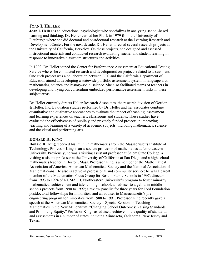#### **JOAN I. HELLER**

**Joan I. Heller** is an educational psychologist who specializes in analyzing school-based learning and thinking. Dr. Heller earned her Ph.D. in 1979 from the University of Pittsburgh where she did doctoral and postdoctoral research at the Learning Research and Development Center. For the next decade, Dr. Heller directed several research projects at the University of California, Berkeley. On these projects, she designed and assessed instructional materials and conducted research evaluating teacher and student learning in response to innovative classroom structures and activities.

In 1992, Dr. Heller joined the Center for Performance Assessment at Educational Testing Service where she conducted research and development on projects related to assessment. One such project was a collaboration between ETS and the California Department of Education aimed at developing a statewide portfolio assessment system in language arts, mathematics, science and history/social science. She also facilitated teams of teachers in developing and trying out curriculum-embedded performance assessment tasks in these subject areas.

Dr. Heller currently directs Heller Research Associates, the research division of Gordon & Heller, Inc. Evaluation studies performed by Dr. Heller and her associates combine quantitative and qualitative approaches to evaluate the impact of teaching, assessment and learning experiences on teachers, classrooms and students. These studies have evaluated the effectiveness of publicly and privately funded projects in improving teaching and learning of a variety of academic subjects, including mathematics, science and the visual and performing arts.

## **DONALD R. KING**

**Donald R. King** received his Ph.D. in mathematics from the Massachusetts Institute of Technology. Professor King is an associate professor of mathematics at Northeastern University. Previously, he was a visiting assistant professor at Salem State College, a visiting assistant professor at the University of California at San Diego and a high school mathematics teacher in Boston, Mass. Professor King is a member of the Mathematical Association of America, American Mathematical Society and the National Association of Mathematicians. He also is active in professional and community service: he was a parent member of the Mathematics Focus Group for Boston Public Schools in 1997; director from 1993 to 1994 of NUMATH, Northeastern University's program to foster minority mathematical achievement and talent in high school; an adviser to algebra-in-middleschools projects from 1990 to 1992; a review panelist for three years for Ford Foundation postdoctoral fellowships for minorities; and an adviser to Massachusetts's preengineering program for minorities from 1988 to 1991. Professor King recently gave a speech at the American Mathematical Society's Special Session on Teaching Mathematics in the New Millennium: "Changing School Outcomes: Raising Standards and Promoting Equity." Professor King has advised Achieve on the quality of standards and assessments in a number of states including Minnesota, Oklahoma, New Jersey and Texas.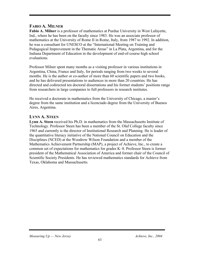#### **FABIO A. MILNER**

**Fabio A. Milner** is a professor of mathematics at Purdue University in West Lafayette, Ind., where he has been on the faculty since 1983. He was an associate professor of mathematics at the University of Rome II in Rome, Italy, from 1987 to 1992. In addition, he was a consultant for UNESCO at the "International Meeting on Training and Pedagogical Improvement in the Thematic Areas" in La Plata, Argentina, and for the Indiana Department of Education in the development of end-of-course high school evaluations.

Professor Milner spent many months as a visiting professor in various institutions in Argentina, China, France and Italy, for periods ranging from two weeks to several months. He is the author or co-author of more than 60 scientific papers and two books, and he has delivered presentations to audiences in more than 20 countries. He has directed and codirected ten doctoral dissertations and his former students' positions range from researchers in large companies to full professors in research institutes.

He received a doctorate in mathematics from the University of Chicago, a master's degree from the same institution and a licenciado degree from the University of Buenos Aires, Argentina.

#### **LYNN A. STEEN**

**Lynn A. Steen** received his Ph.D. in mathematics from the Massachusetts Institute of Technology. Professor Steen has been a member of the St. Olaf College faculty since 1965 and currently is the director of Institutional Research and Planning. He is leader of the quantitative literacy initiative of the National Council on Education and the Disciplines (NCED) at the Woodrow Wilson Foundation and a member of the Mathematics Achievement Partnership (MAP), a project of Achieve, Inc., to create a common set of expectations for mathematics for grades K–8. Professor Steen is former president of the Mathematical Association of America and former chair of the Council of Scientific Society Presidents. He has reviewed mathematics standards for Achieve from Texas, Oklahoma and Massachusetts.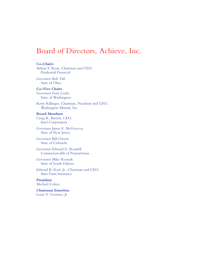## Board of Directors, Achieve, Inc.

#### **Co-Chairs**

Arthur F. Ryan, Chairman and CEO, Prudential Financial

Governor Bob Taft State of Ohio

#### **Co-Vice Chairs**

Governor Gary Locke State of Washington

Kerry Killinger, Chairman, President and CEO, Washington Mutual, Inc.

#### **Board Members**

Craig R. Barrett, CEO, Intel Corporation

Governor James E. McGreevey State of New Jersey

Governor Bill Owens State of Colorado

Governor Edward G. Rendell Commonwealth of Pennsylvania

Governor Mike Rounds State of South Dakota

Edward B. Rust, Jr., Chairman and CEO, State Farm Insurance

**President** Michael Cohen

**Chairman Emeritus** Louis V. Gerstner, Jr.